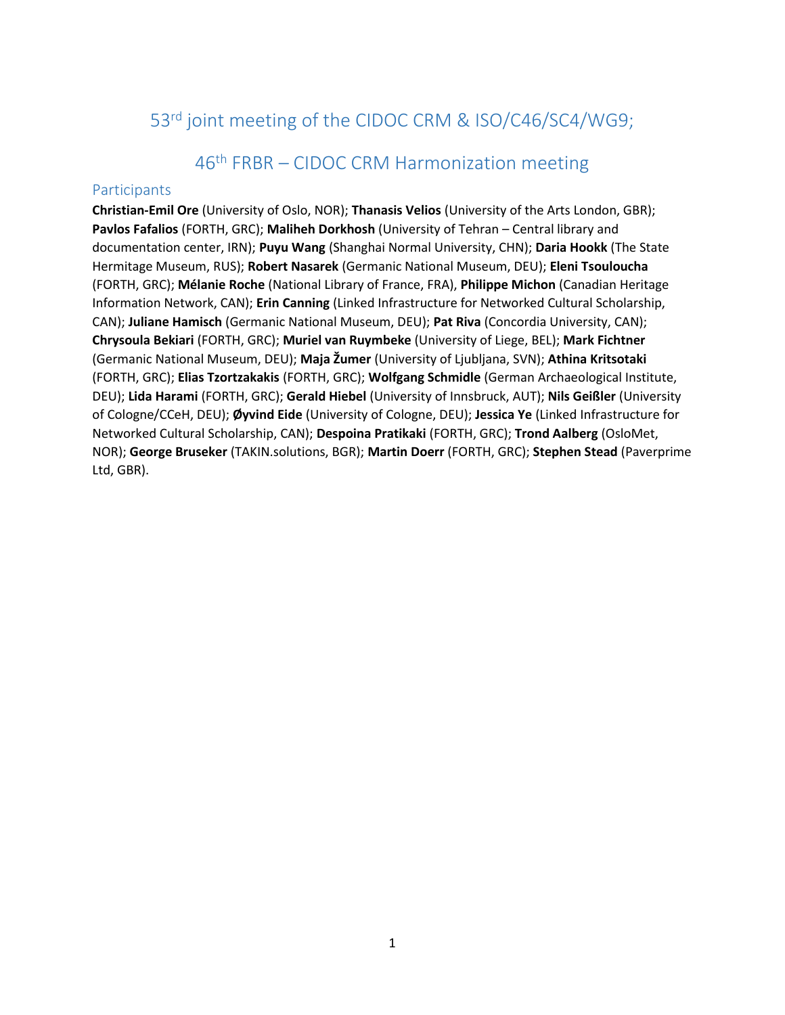# <span id="page-0-0"></span>53<sup>rd</sup> joint meeting of the CIDOC CRM & ISO/C46/SC4/WG9;

# 46 th FRBR – CIDOC CRM Harmonization meeting

## <span id="page-0-2"></span><span id="page-0-1"></span>Participants

**Christian-Emil Ore** (University of Oslo, NOR); **Thanasis Velios** (University of the Arts London, GBR); **Pavlos Fafalios** (FORTH, GRC); **Maliheh Dorkhosh** (University of Tehran – Central library and documentation center, IRN); **Puyu Wang** (Shanghai Normal University, CHN); **Daria Hookk** (The State Hermitage Museum, RUS); **Robert Nasarek** (Germanic National Museum, DEU); **Eleni Tsouloucha** (FORTH, GRC); **Mélanie Roche** (National Library of France, FRA), **Philippe Michon** (Canadian Heritage Information Network, CAN); **Erin Canning** (Linked Infrastructure for Networked Cultural Scholarship, CAN); **Juliane Hamisch** (Germanic National Museum, DEU); **Pat Riva** (Concordia University, CAN); **Chrysoula Bekiari** (FORTH, GRC); **Muriel van Ruymbeke** (University of Liege, BEL); **Mark Fichtner** (Germanic National Museum, DEU); **Maja Žumer** (University of Ljubljana, SVN); **Athina Kritsotaki** (FORTH, GRC); **Elias Tzortzakakis** (FORTH, GRC); **Wolfgang Schmidle** (German Archaeological Institute, DEU); **Lida Harami** (FORTH, GRC); **Gerald Hiebel** (University of Innsbruck, AUT); **Nils Geißler** (University of Cologne/CCeH, DEU); **Øyvind Eide** (University of Cologne, DEU); **Jessica Ye** (Linked Infrastructure for Networked Cultural Scholarship, CAN); **Despoina Pratikaki** (FORTH, GRC); **Trond Aalberg** (OsloMet, NOR); **George Bruseker** (TAKIN.solutions, BGR); **Martin Doerr** (FORTH, GRC); **Stephen Stead** (Paverprime Ltd, GBR).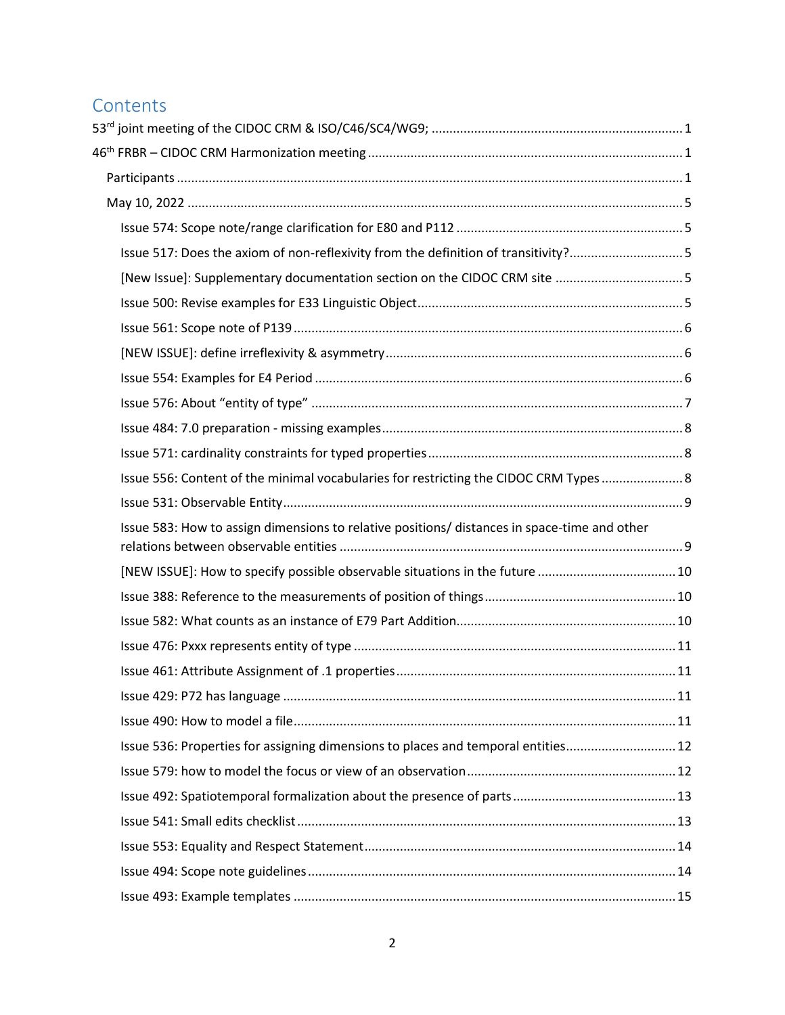# **Contents**

| Issue 517: Does the axiom of non-reflexivity from the definition of transitivity?5           |  |
|----------------------------------------------------------------------------------------------|--|
|                                                                                              |  |
|                                                                                              |  |
|                                                                                              |  |
|                                                                                              |  |
|                                                                                              |  |
|                                                                                              |  |
|                                                                                              |  |
|                                                                                              |  |
| Issue 556: Content of the minimal vocabularies for restricting the CIDOC CRM Types  8        |  |
|                                                                                              |  |
| Issue 583: How to assign dimensions to relative positions/ distances in space-time and other |  |
|                                                                                              |  |
|                                                                                              |  |
|                                                                                              |  |
|                                                                                              |  |
|                                                                                              |  |
|                                                                                              |  |
|                                                                                              |  |
| Issue 536: Properties for assigning dimensions to places and temporal entities 12            |  |
|                                                                                              |  |
|                                                                                              |  |
|                                                                                              |  |
|                                                                                              |  |
|                                                                                              |  |
|                                                                                              |  |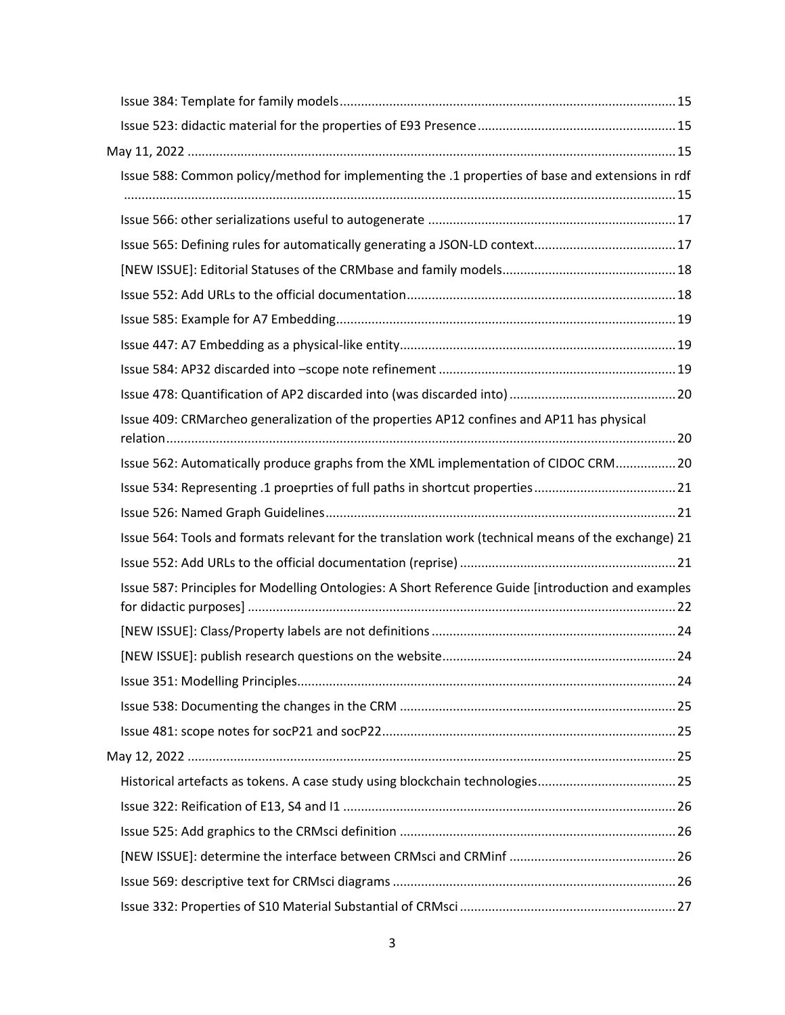| Issue 588: Common policy/method for implementing the .1 properties of base and extensions in rdf    |  |
|-----------------------------------------------------------------------------------------------------|--|
|                                                                                                     |  |
|                                                                                                     |  |
|                                                                                                     |  |
|                                                                                                     |  |
|                                                                                                     |  |
|                                                                                                     |  |
|                                                                                                     |  |
|                                                                                                     |  |
| Issue 409: CRMarcheo generalization of the properties AP12 confines and AP11 has physical           |  |
| Issue 562: Automatically produce graphs from the XML implementation of CIDOC CRM20                  |  |
|                                                                                                     |  |
|                                                                                                     |  |
| Issue 564: Tools and formats relevant for the translation work (technical means of the exchange) 21 |  |
|                                                                                                     |  |
| Issue 587: Principles for Modelling Ontologies: A Short Reference Guide [introduction and examples  |  |
|                                                                                                     |  |
|                                                                                                     |  |
|                                                                                                     |  |
|                                                                                                     |  |
|                                                                                                     |  |
|                                                                                                     |  |
|                                                                                                     |  |
|                                                                                                     |  |
|                                                                                                     |  |
|                                                                                                     |  |
|                                                                                                     |  |
|                                                                                                     |  |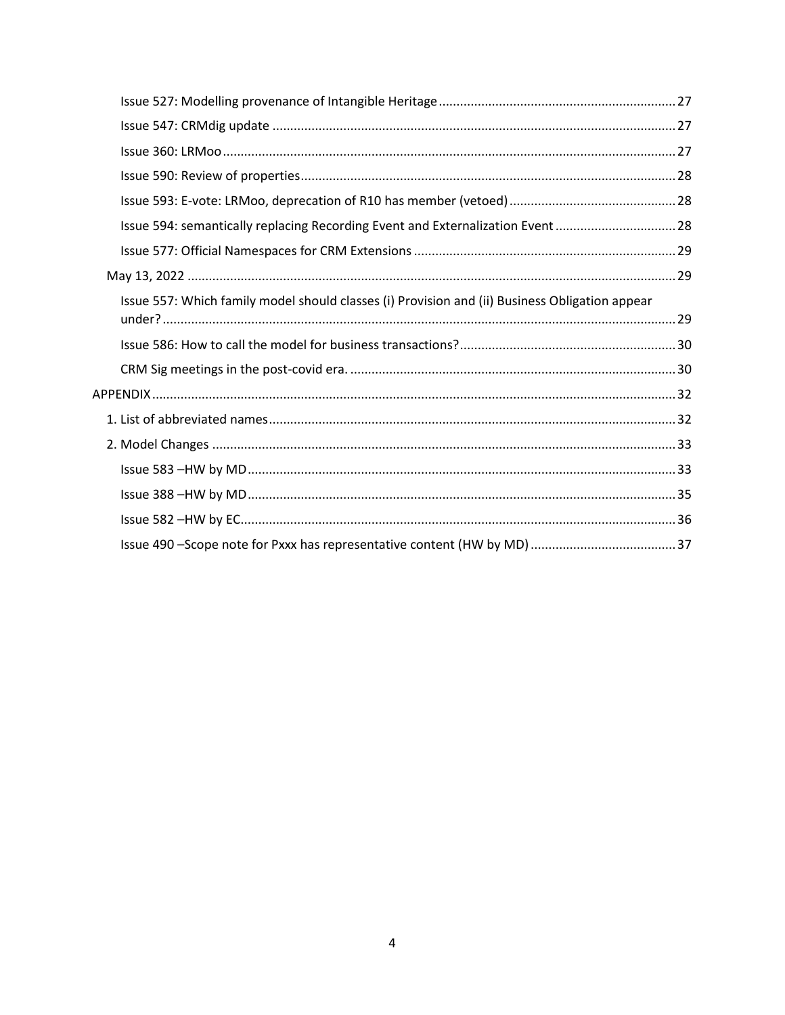| Issue 594: semantically replacing Recording Event and Externalization Event 28                 |  |
|------------------------------------------------------------------------------------------------|--|
|                                                                                                |  |
|                                                                                                |  |
| Issue 557: Which family model should classes (i) Provision and (ii) Business Obligation appear |  |
|                                                                                                |  |
|                                                                                                |  |
|                                                                                                |  |
|                                                                                                |  |
|                                                                                                |  |
|                                                                                                |  |
|                                                                                                |  |
|                                                                                                |  |
|                                                                                                |  |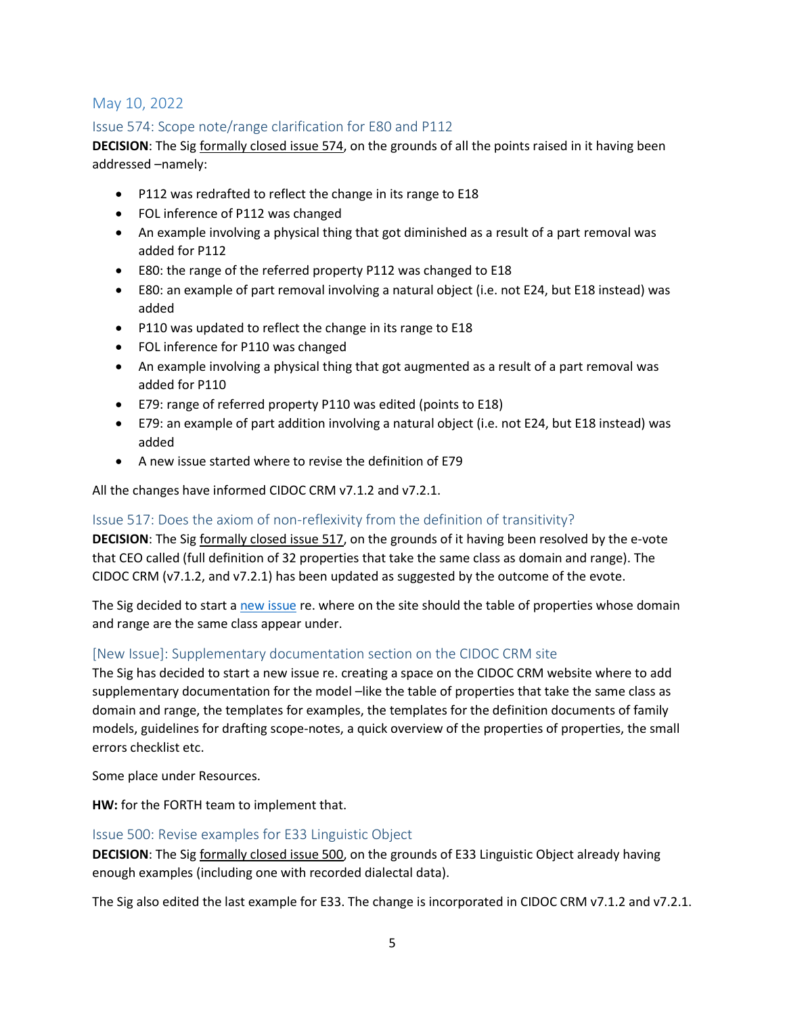# <span id="page-4-0"></span>May 10, 2022

# <span id="page-4-1"></span>Issue 574: Scope note/range clarification for E80 and P112

**DECISION**: The Sig formally closed issue 574, on the grounds of all the points raised in it having been addressed –namely:

- P112 was redrafted to reflect the change in its range to E18
- FOL inference of P112 was changed
- An example involving a physical thing that got diminished as a result of a part removal was added for P112
- E80: the range of the referred property P112 was changed to E18
- E80: an example of part removal involving a natural object (i.e. not E24, but E18 instead) was added
- P110 was updated to reflect the change in its range to E18
- FOL inference for P110 was changed
- An example involving a physical thing that got augmented as a result of a part removal was added for P110
- E79: range of referred property P110 was edited (points to E18)
- E79: an example of part addition involving a natural object (i.e. not E24, but E18 instead) was added
- A new issue started where to revise the definition of E79

All the changes have informed CIDOC CRM v7.1.2 and v7.2.1.

#### <span id="page-4-2"></span>Issue 517: Does the axiom of non-reflexivity from the definition of transitivity?

**DECISION**: The Sig formally closed issue 517, on the grounds of it having been resolved by the e-vote that CEO called (full definition of 32 properties that take the same class as domain and range). The CIDOC CRM (v7.1.2, and v7.2.1) has been updated as suggested by the outcome of the evote.

The Sig decided to start a [new issue](#page-4-3) re. where on the site should the table of properties whose domain and range are the same class appear under.

#### <span id="page-4-3"></span>[New Issue]: Supplementary documentation section on the CIDOC CRM site

The Sig has decided to start a new issue re. creating a space on the CIDOC CRM website where to add supplementary documentation for the model –like the table of properties that take the same class as domain and range, the templates for examples, the templates for the definition documents of family models, guidelines for drafting scope-notes, a quick overview of the properties of properties, the small errors checklist etc.

Some place under Resources.

**HW:** for the FORTH team to implement that.

#### <span id="page-4-4"></span>Issue 500: Revise examples for E33 Linguistic Object

**DECISION**: The Sig formally closed issue 500, on the grounds of E33 Linguistic Object already having enough examples (including one with recorded dialectal data).

The Sig also edited the last example for E33. The change is incorporated in CIDOC CRM v7.1.2 and v7.2.1.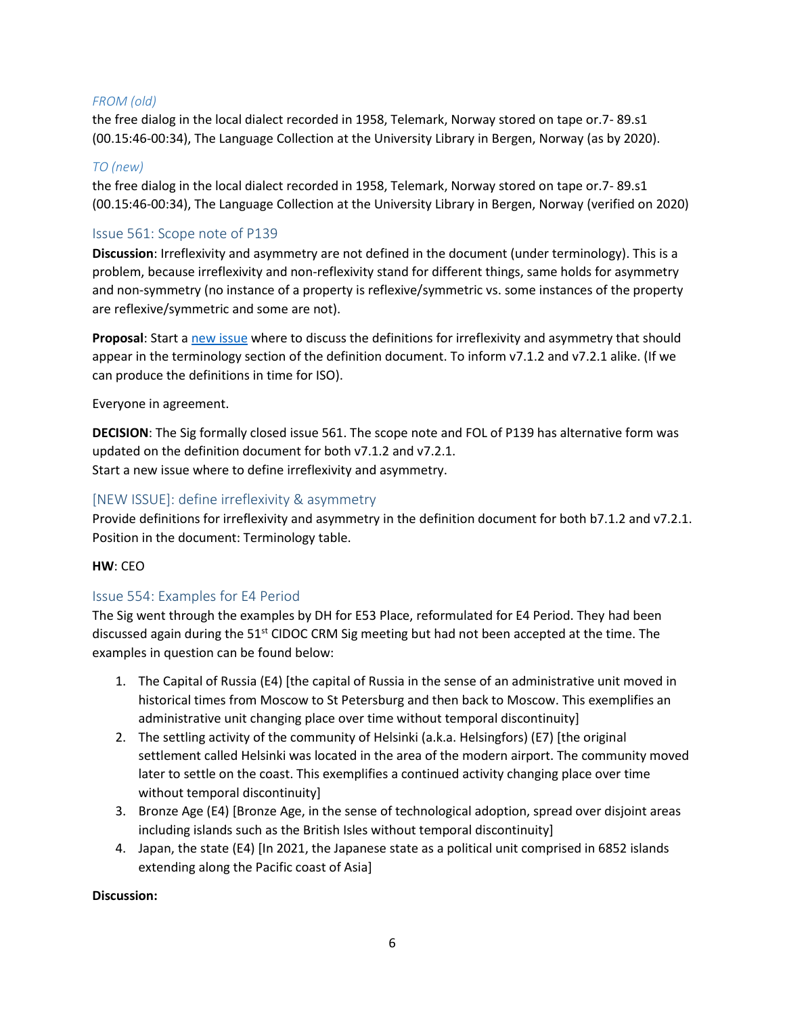## *FROM (old)*

the free dialog in the local dialect recorded in 1958, Telemark, Norway stored on tape or.7- 89.s1 (00.15:46-00:34), The Language Collection at the University Library in Bergen, Norway (as by 2020).

### *TO (new)*

the free dialog in the local dialect recorded in 1958, Telemark, Norway stored on tape or.7- 89.s1 (00.15:46-00:34), The Language Collection at the University Library in Bergen, Norway (verified on 2020)

## <span id="page-5-0"></span>Issue 561: Scope note of P139

**Discussion**: Irreflexivity and asymmetry are not defined in the document (under terminology). This is a problem, because irreflexivity and non-reflexivity stand for different things, same holds for asymmetry and non-symmetry (no instance of a property is reflexive/symmetric vs. some instances of the property are reflexive/symmetric and some are not).

**Proposal**: Start a [new issue](#page-5-1) where to discuss the definitions for irreflexivity and asymmetry that should appear in the terminology section of the definition document. To inform v7.1.2 and v7.2.1 alike. (If we can produce the definitions in time for ISO).

#### Everyone in agreement.

**DECISION**: The Sig formally closed issue 561. The scope note and FOL of P139 has alternative form was updated on the definition document for both v7.1.2 and v7.2.1. Start a new issue where to define irreflexivity and asymmetry.

## <span id="page-5-1"></span>[NEW ISSUE]: define irreflexivity & asymmetry

Provide definitions for irreflexivity and asymmetry in the definition document for both b7.1.2 and v7.2.1. Position in the document: Terminology table.

#### **HW**: CEO

## <span id="page-5-2"></span>Issue 554: Examples for E4 Period

The Sig went through the examples by DH for E53 Place, reformulated for E4 Period. They had been discussed again during the 51<sup>st</sup> CIDOC CRM Sig meeting but had not been accepted at the time. The examples in question can be found below:

- 1. The Capital of Russia (E4) [the capital of Russia in the sense of an administrative unit moved in historical times from Moscow to St Petersburg and then back to Moscow. This exemplifies an administrative unit changing place over time without temporal discontinuity]
- 2. The settling activity of the community of Helsinki (a.k.a. Helsingfors) (E7) [the original settlement called Helsinki was located in the area of the modern airport. The community moved later to settle on the coast. This exemplifies a continued activity changing place over time without temporal discontinuity]
- 3. Bronze Age (E4) [Bronze Age, in the sense of technological adoption, spread over disjoint areas including islands such as the British Isles without temporal discontinuity]
- 4. Japan, the state (E4) [In 2021, the Japanese state as a political unit comprised in 6852 islands extending along the Pacific coast of Asia]

#### **Discussion:**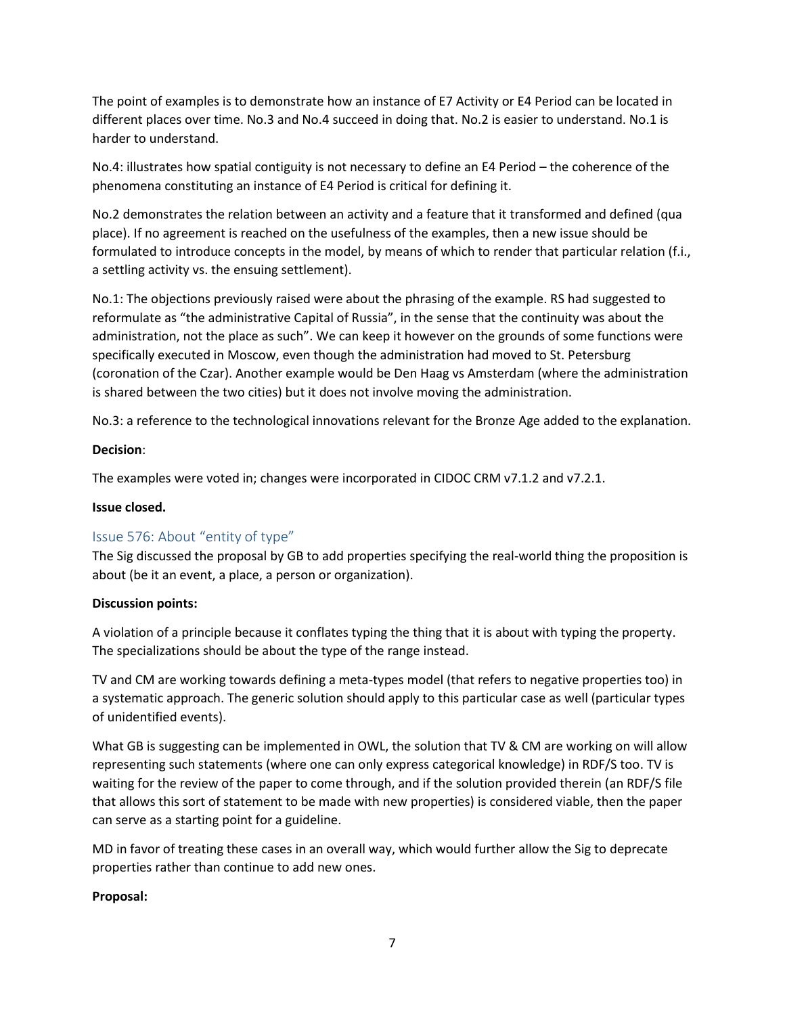The point of examples is to demonstrate how an instance of E7 Activity or E4 Period can be located in different places over time. No.3 and No.4 succeed in doing that. No.2 is easier to understand. No.1 is harder to understand.

No.4: illustrates how spatial contiguity is not necessary to define an E4 Period – the coherence of the phenomena constituting an instance of E4 Period is critical for defining it.

No.2 demonstrates the relation between an activity and a feature that it transformed and defined (qua place). If no agreement is reached on the usefulness of the examples, then a new issue should be formulated to introduce concepts in the model, by means of which to render that particular relation (f.i., a settling activity vs. the ensuing settlement).

No.1: The objections previously raised were about the phrasing of the example. RS had suggested to reformulate as "the administrative Capital of Russia", in the sense that the continuity was about the administration, not the place as such". We can keep it however on the grounds of some functions were specifically executed in Moscow, even though the administration had moved to St. Petersburg (coronation of the Czar). Another example would be Den Haag vs Amsterdam (where the administration is shared between the two cities) but it does not involve moving the administration.

No.3: a reference to the technological innovations relevant for the Bronze Age added to the explanation.

#### **Decision**:

The examples were voted in; changes were incorporated in CIDOC CRM v7.1.2 and v7.2.1.

## **Issue closed.**

## <span id="page-6-0"></span>Issue 576: About "entity of type"

The Sig discussed the proposal by GB to add properties specifying the real-world thing the proposition is about (be it an event, a place, a person or organization).

#### **Discussion points:**

A violation of a principle because it conflates typing the thing that it is about with typing the property. The specializations should be about the type of the range instead.

TV and CM are working towards defining a meta-types model (that refers to negative properties too) in a systematic approach. The generic solution should apply to this particular case as well (particular types of unidentified events).

What GB is suggesting can be implemented in OWL, the solution that TV & CM are working on will allow representing such statements (where one can only express categorical knowledge) in RDF/S too. TV is waiting for the review of the paper to come through, and if the solution provided therein (an RDF/S file that allows this sort of statement to be made with new properties) is considered viable, then the paper can serve as a starting point for a guideline.

MD in favor of treating these cases in an overall way, which would further allow the Sig to deprecate properties rather than continue to add new ones.

#### **Proposal:**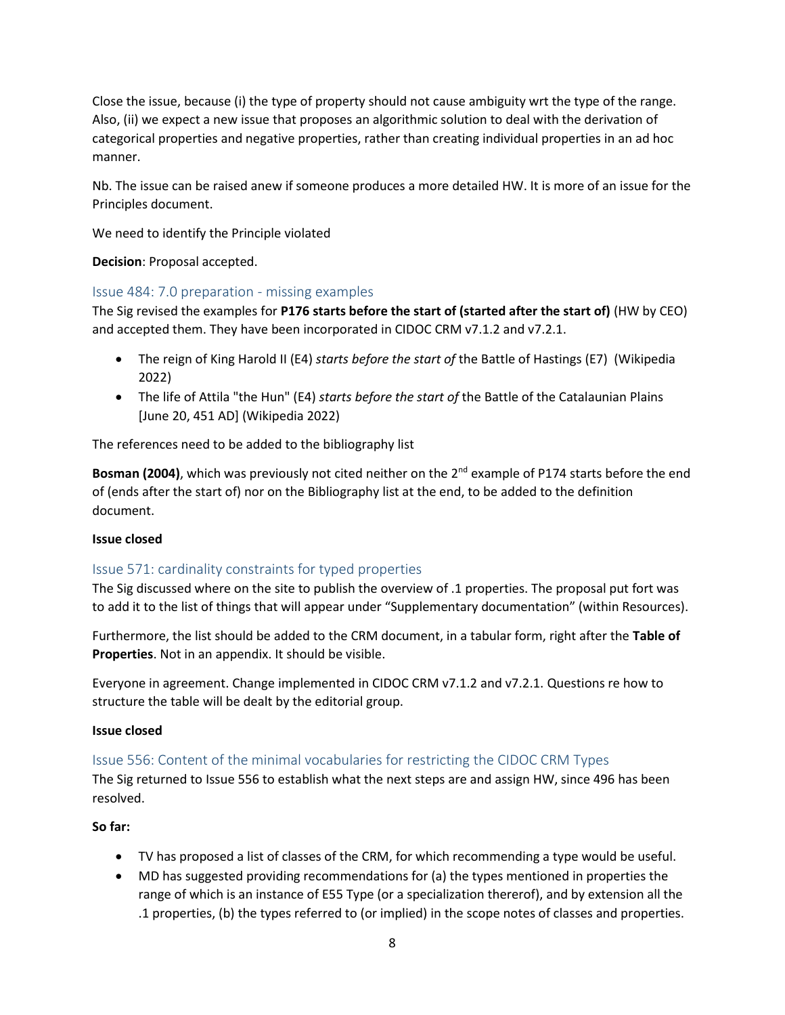Close the issue, because (i) the type of property should not cause ambiguity wrt the type of the range. Also, (ii) we expect a new issue that proposes an algorithmic solution to deal with the derivation of categorical properties and negative properties, rather than creating individual properties in an ad hoc manner.

Nb. The issue can be raised anew if someone produces a more detailed HW. It is more of an issue for the Principles document.

We need to identify the Principle violated

**Decision**: Proposal accepted.

## <span id="page-7-0"></span>Issue 484: 7.0 preparation - missing examples

The Sig revised the examples for **P176 starts before the start of (started after the start of)** (HW by CEO) and accepted them. They have been incorporated in CIDOC CRM v7.1.2 and v7.2.1.

- The reign of King Harold II (E4) *starts before the start of* the Battle of Hastings (E7) (Wikipedia 2022)
- The life of Attila "the Hun" (E4) *starts before the start of* the Battle of the Catalaunian Plains [June 20, 451 AD] (Wikipedia 2022)

The references need to be added to the bibliography list

**Bosman (2004)**, which was previously not cited neither on the 2<sup>nd</sup> example of P174 starts before the end of (ends after the start of) nor on the Bibliography list at the end, to be added to the definition document.

#### **Issue closed**

## <span id="page-7-1"></span>Issue 571: cardinality constraints for typed properties

The Sig discussed where on the site to publish the overview of .1 properties. The proposal put fort was to add it to the list of things that will appear under "Supplementary documentation" (within Resources).

Furthermore, the list should be added to the CRM document, in a tabular form, right after the **Table of Properties**. Not in an appendix. It should be visible.

Everyone in agreement. Change implemented in CIDOC CRM v7.1.2 and v7.2.1. Questions re how to structure the table will be dealt by the editorial group.

#### **Issue closed**

## <span id="page-7-2"></span>Issue 556: Content of the minimal vocabularies for restricting the CIDOC CRM Types

The Sig returned to Issue 556 to establish what the next steps are and assign HW, since 496 has been resolved.

#### **So far:**

- TV has proposed a list of classes of the CRM, for which recommending a type would be useful.
- MD has suggested providing recommendations for (a) the types mentioned in properties the range of which is an instance of E55 Type (or a specialization thererof), and by extension all the .1 properties, (b) the types referred to (or implied) in the scope notes of classes and properties.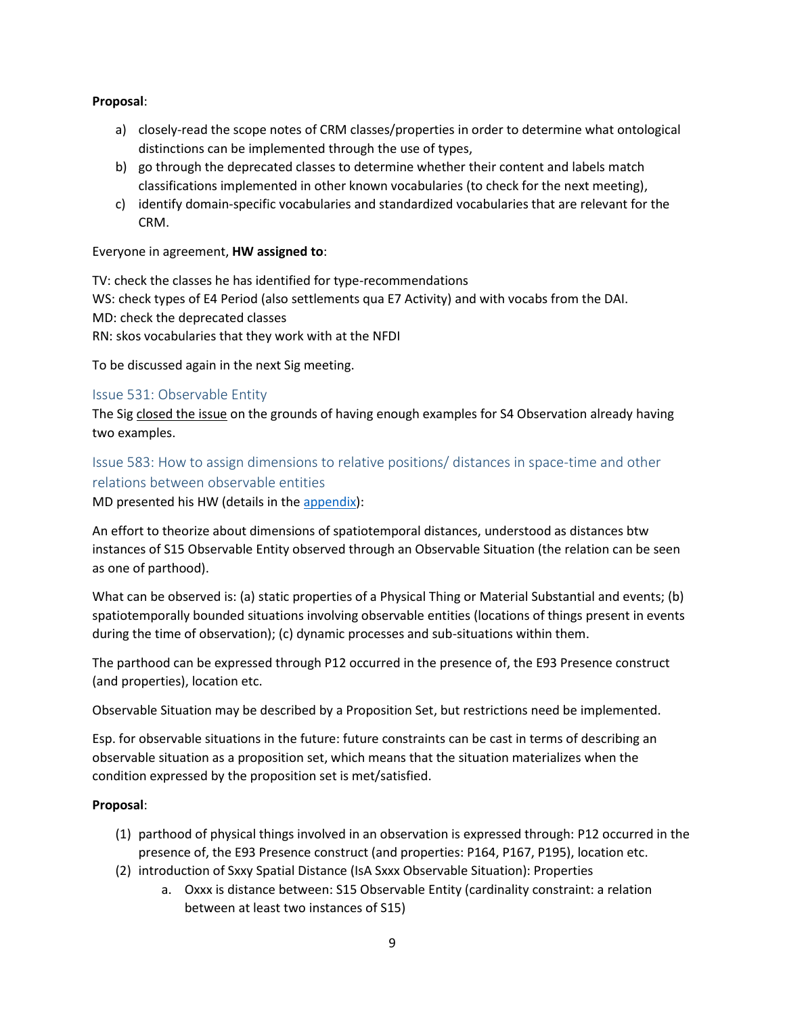## **Proposal**:

- a) closely-read the scope notes of CRM classes/properties in order to determine what ontological distinctions can be implemented through the use of types,
- b) go through the deprecated classes to determine whether their content and labels match classifications implemented in other known vocabularies (to check for the next meeting),
- c) identify domain-specific vocabularies and standardized vocabularies that are relevant for the CRM.

## Everyone in agreement, **HW assigned to**:

TV: check the classes he has identified for type-recommendations WS: check types of E4 Period (also settlements qua E7 Activity) and with vocabs from the DAI. MD: check the deprecated classes RN: skos vocabularies that they work with at the NFDI

To be discussed again in the next Sig meeting.

## <span id="page-8-0"></span>Issue 531: Observable Entity

The Sig closed the issue on the grounds of having enough examples for S4 Observation already having two examples.

# <span id="page-8-1"></span>Issue 583: How to assign dimensions to relative positions/ distances in space-time and other relations between observable entities

MD presented his HW (details in th[e appendix\)](#page-32-1):

An effort to theorize about dimensions of spatiotemporal distances, understood as distances btw instances of S15 Observable Entity observed through an Observable Situation (the relation can be seen as one of parthood).

What can be observed is: (a) static properties of a Physical Thing or Material Substantial and events; (b) spatiotemporally bounded situations involving observable entities (locations of things present in events during the time of observation); (c) dynamic processes and sub-situations within them.

The parthood can be expressed through P12 occurred in the presence of, the E93 Presence construct (and properties), location etc.

Observable Situation may be described by a Proposition Set, but restrictions need be implemented.

Esp. for observable situations in the future: future constraints can be cast in terms of describing an observable situation as a proposition set, which means that the situation materializes when the condition expressed by the proposition set is met/satisfied.

## **Proposal**:

- (1) parthood of physical things involved in an observation is expressed through: P12 occurred in the presence of, the E93 Presence construct (and properties: P164, P167, P195), location etc.
- (2) introduction of Sxxy Spatial Distance (IsA Sxxx Observable Situation): Properties
	- a. Oxxx is distance between: S15 Observable Entity (cardinality constraint: a relation between at least two instances of S15)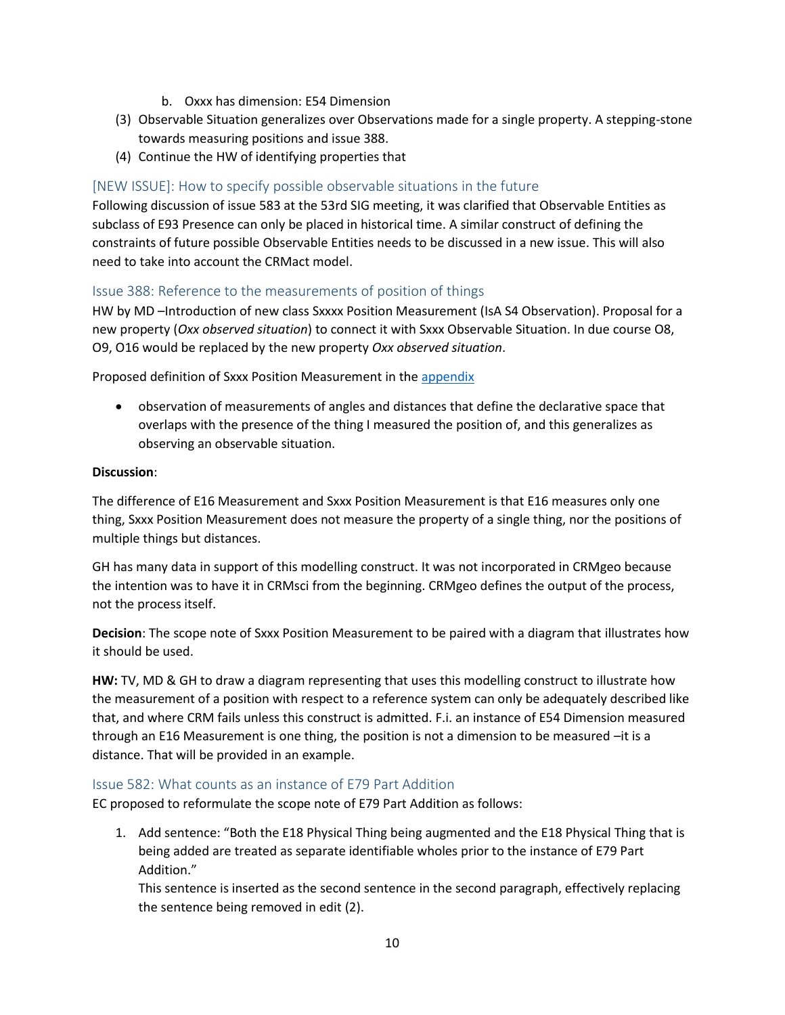- b. Oxxx has dimension: E54 Dimension
- (3) Observable Situation generalizes over Observations made for a single property. A stepping-stone towards measuring positions and issue 388.
- (4) Continue the HW of identifying properties that

## <span id="page-9-0"></span>[NEW ISSUE]: How to specify possible observable situations in the future

Following discussion of issue 583 at the 53rd SIG meeting, it was clarified that Observable Entities as subclass of E93 Presence can only be placed in historical time. A similar construct of defining the constraints of future possible Observable Entities needs to be discussed in a new issue. This will also need to take into account the CRMact model.

## <span id="page-9-1"></span>Issue 388: Reference to the measurements of position of things

HW by MD –Introduction of new class Sxxxx Position Measurement (IsA S4 Observation). Proposal for a new property (*Oxx observed situation*) to connect it with Sxxx Observable Situation. In due course O8, O9, O16 would be replaced by the new property *Oxx observed situation*.

Proposed definition of Sxxx Position Measurement in th[e appendix](#page-34-0)

• observation of measurements of angles and distances that define the declarative space that overlaps with the presence of the thing I measured the position of, and this generalizes as observing an observable situation.

## **Discussion**:

The difference of E16 Measurement and Sxxx Position Measurement is that E16 measures only one thing, Sxxx Position Measurement does not measure the property of a single thing, nor the positions of multiple things but distances.

GH has many data in support of this modelling construct. It was not incorporated in CRMgeo because the intention was to have it in CRMsci from the beginning. CRMgeo defines the output of the process, not the process itself.

**Decision**: The scope note of Sxxx Position Measurement to be paired with a diagram that illustrates how it should be used.

**HW:** TV, MD & GH to draw a diagram representing that uses this modelling construct to illustrate how the measurement of a position with respect to a reference system can only be adequately described like that, and where CRM fails unless this construct is admitted. F.i. an instance of E54 Dimension measured through an E16 Measurement is one thing, the position is not a dimension to be measured –it is a distance. That will be provided in an example.

## <span id="page-9-2"></span>Issue 582: What counts as an instance of E79 Part Addition

EC proposed to reformulate the scope note of E79 Part Addition as follows:

1. Add sentence: "Both the E18 Physical Thing being augmented and the E18 Physical Thing that is being added are treated as separate identifiable wholes prior to the instance of E79 Part Addition."

This sentence is inserted as the second sentence in the second paragraph, effectively replacing the sentence being removed in edit (2).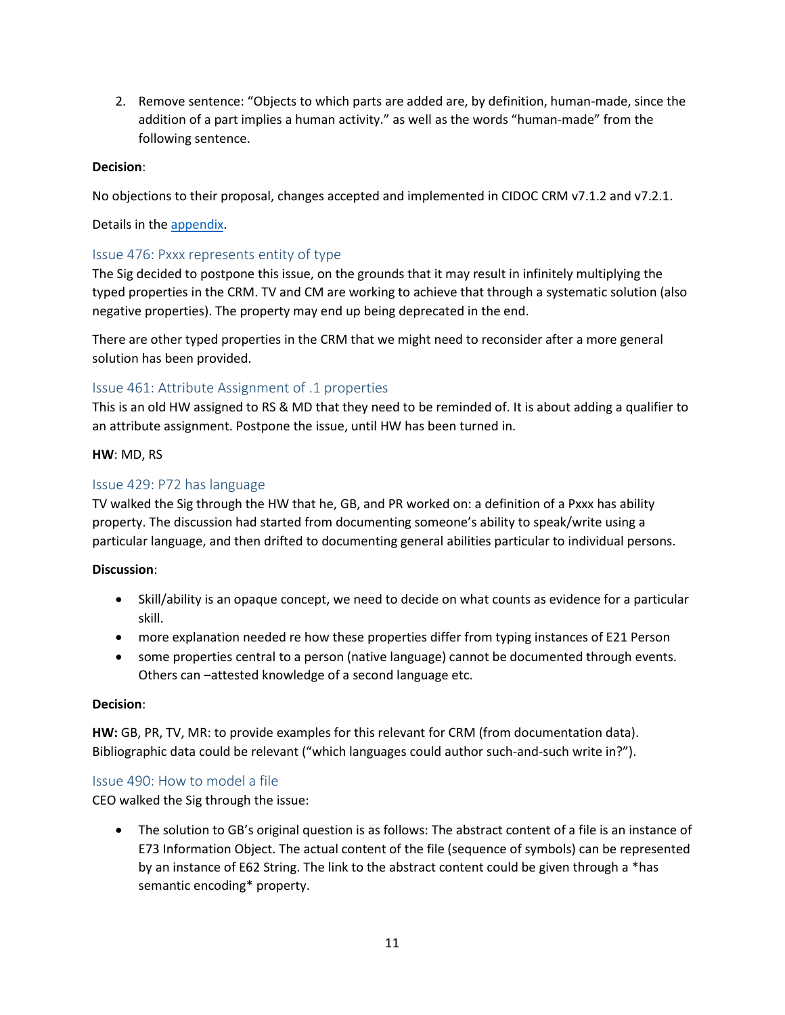2. Remove sentence: "Objects to which parts are added are, by definition, human-made, since the addition of a part implies a human activity." as well as the words "human-made" from the following sentence.

### **Decision**:

No objections to their proposal, changes accepted and implemented in CIDOC CRM v7.1.2 and v7.2.1.

Details in the [appendix.](#page-35-0)

## <span id="page-10-0"></span>Issue 476: Pxxx represents entity of type

The Sig decided to postpone this issue, on the grounds that it may result in infinitely multiplying the typed properties in the CRM. TV and CM are working to achieve that through a systematic solution (also negative properties). The property may end up being deprecated in the end.

There are other typed properties in the CRM that we might need to reconsider after a more general solution has been provided.

## <span id="page-10-1"></span>Issue 461: Attribute Assignment of .1 properties

This is an old HW assigned to RS & MD that they need to be reminded of. It is about adding a qualifier to an attribute assignment. Postpone the issue, until HW has been turned in.

#### **HW**: MD, RS

## <span id="page-10-2"></span>Issue 429: P72 has language

TV walked the Sig through the HW that he, GB, and PR worked on: a definition of a Pxxx has ability property. The discussion had started from documenting someone's ability to speak/write using a particular language, and then drifted to documenting general abilities particular to individual persons.

## **Discussion**:

- Skill/ability is an opaque concept, we need to decide on what counts as evidence for a particular skill.
- more explanation needed re how these properties differ from typing instances of E21 Person
- some properties central to a person (native language) cannot be documented through events. Others can –attested knowledge of a second language etc.

#### **Decision**:

**HW:** GB, PR, TV, MR: to provide examples for this relevant for CRM (from documentation data). Bibliographic data could be relevant ("which languages could author such-and-such write in?").

#### <span id="page-10-3"></span>Issue 490: How to model a file

CEO walked the Sig through the issue:

• The solution to GB's original question is as follows: The abstract content of a file is an instance of E73 Information Object. The actual content of the file (sequence of symbols) can be represented by an instance of E62 String. The link to the abstract content could be given through a \*has semantic encoding\* property.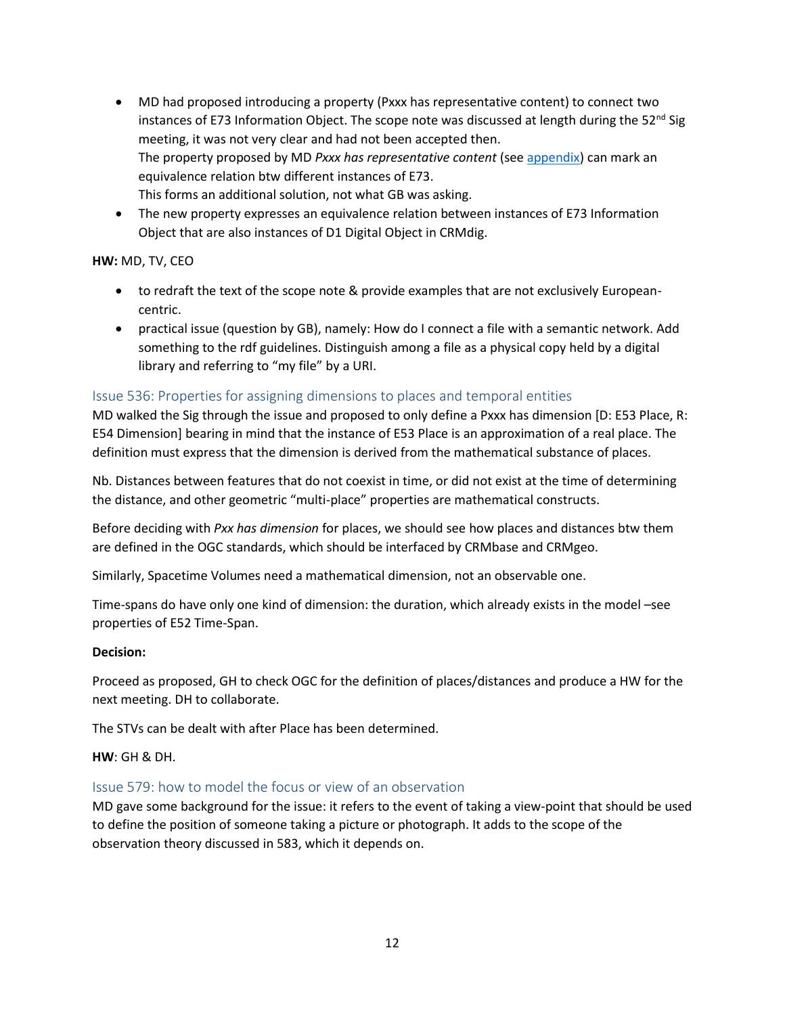- MD had proposed introducing a property (Pxxx has representative content) to connect two instances of E73 Information Object. The scope note was discussed at length during the  $52^{nd}$  Sig meeting, it was not very clear and had not been accepted then. The property proposed by MD *Pxxx has representative content* (see [appendix\)](#page-36-0) can mark an equivalence relation btw different instances of E73. This forms an additional solution, not what GB was asking.
- The new property expresses an equivalence relation between instances of E73 Information Object that are also instances of D1 Digital Object in CRMdig.

## **HW:** MD, TV, CEO

- to redraft the text of the scope note & provide examples that are not exclusively Europeancentric.
- practical issue (question by GB), namely: How do I connect a file with a semantic network. Add something to the rdf guidelines. Distinguish among a file as a physical copy held by a digital library and referring to "my file" by a URI.

## <span id="page-11-0"></span>Issue 536: Properties for assigning dimensions to places and temporal entities

MD walked the Sig through the issue and proposed to only define a Pxxx has dimension [D: E53 Place, R: E54 Dimension] bearing in mind that the instance of E53 Place is an approximation of a real place. The definition must express that the dimension is derived from the mathematical substance of places.

Nb. Distances between features that do not coexist in time, or did not exist at the time of determining the distance, and other geometric "multi-place" properties are mathematical constructs.

Before deciding with *Pxx has dimension* for places, we should see how places and distances btw them are defined in the OGC standards, which should be interfaced by CRMbase and CRMgeo.

Similarly, Spacetime Volumes need a mathematical dimension, not an observable one.

Time-spans do have only one kind of dimension: the duration, which already exists in the model –see properties of E52 Time-Span.

#### **Decision:**

Proceed as proposed, GH to check OGC for the definition of places/distances and produce a HW for the next meeting. DH to collaborate.

The STVs can be dealt with after Place has been determined.

#### **HW**: GH & DH.

#### <span id="page-11-1"></span>Issue 579: how to model the focus or view of an observation

MD gave some background for the issue: it refers to the event of taking a view-point that should be used to define the position of someone taking a picture or photograph. It adds to the scope of the observation theory discussed in 583, which it depends on.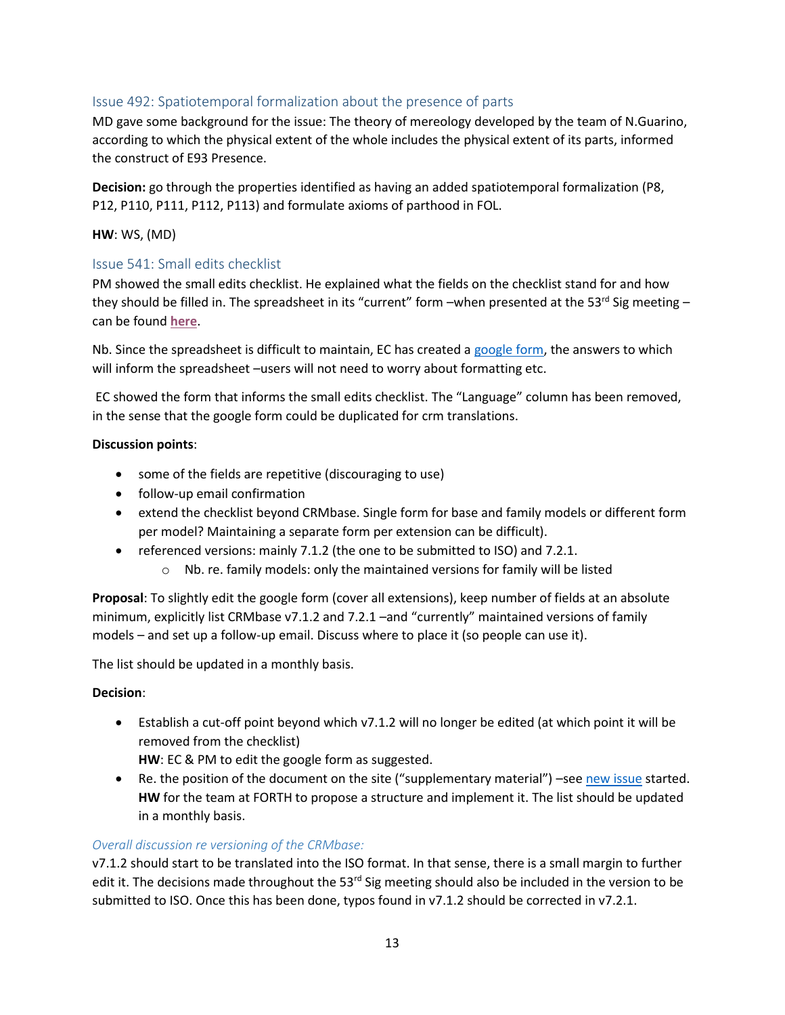# <span id="page-12-0"></span>Issue 492: Spatiotemporal formalization about the presence of parts

MD gave some background for the issue: The theory of mereology developed by the team of N.Guarino, according to which the physical extent of the whole includes the physical extent of its parts, informed the construct of E93 Presence.

**Decision:** go through the properties identified as having an added spatiotemporal formalization (P8, P12, P110, P111, P112, P113) and formulate axioms of parthood in FOL.

## **HW**: WS, (MD)

## <span id="page-12-1"></span>Issue 541: Small edits checklist

PM showed the small edits checklist. He explained what the fields on the checklist stand for and how they should be filled in. The spreadsheet in its "current" form –when presented at the 53<sup>rd</sup> Sig meeting – can be found **[here](https://cidoc-crm.org/sites/default/files/Documents/OLD1%20-%20CIDOC%20CRM%20Corrections%20and%20Edits%20%28Responses%29%20%5B25%20May%202022%5D.xlsx)**.

Nb. Since the spreadsheet is difficult to maintain, EC has created a [google form,](https://cidoc-crm.org/sites/default/files/541form_v1.pdf) the answers to which will inform the spreadsheet –users will not need to worry about formatting etc.

EC showed the form that informs the small edits checklist. The "Language" column has been removed, in the sense that the google form could be duplicated for crm translations.

#### **Discussion points**:

- some of the fields are repetitive (discouraging to use)
- follow-up email confirmation
- extend the checklist beyond CRMbase. Single form for base and family models or different form per model? Maintaining a separate form per extension can be difficult).
- referenced versions: mainly 7.1.2 (the one to be submitted to ISO) and 7.2.1.
	- o Nb. re. family models: only the maintained versions for family will be listed

**Proposal**: To slightly edit the google form (cover all extensions), keep number of fields at an absolute minimum, explicitly list CRMbase v7.1.2 and 7.2.1 –and "currently" maintained versions of family models – and set up a follow-up email. Discuss where to place it (so people can use it).

The list should be updated in a monthly basis.

#### **Decision**:

• Establish a cut-off point beyond which v7.1.2 will no longer be edited (at which point it will be removed from the checklist)

**HW**: EC & PM to edit the google form as suggested.

• Re. the position of the document on the site ("supplementary material") –see [new issue](#page-4-3) started. **HW** for the team at FORTH to propose a structure and implement it. The list should be updated in a monthly basis.

#### *Overall discussion re versioning of the CRMbase:*

v7.1.2 should start to be translated into the ISO format. In that sense, there is a small margin to further edit it. The decisions made throughout the  $53<sup>rd</sup>$  Sig meeting should also be included in the version to be submitted to ISO. Once this has been done, typos found in v7.1.2 should be corrected in v7.2.1.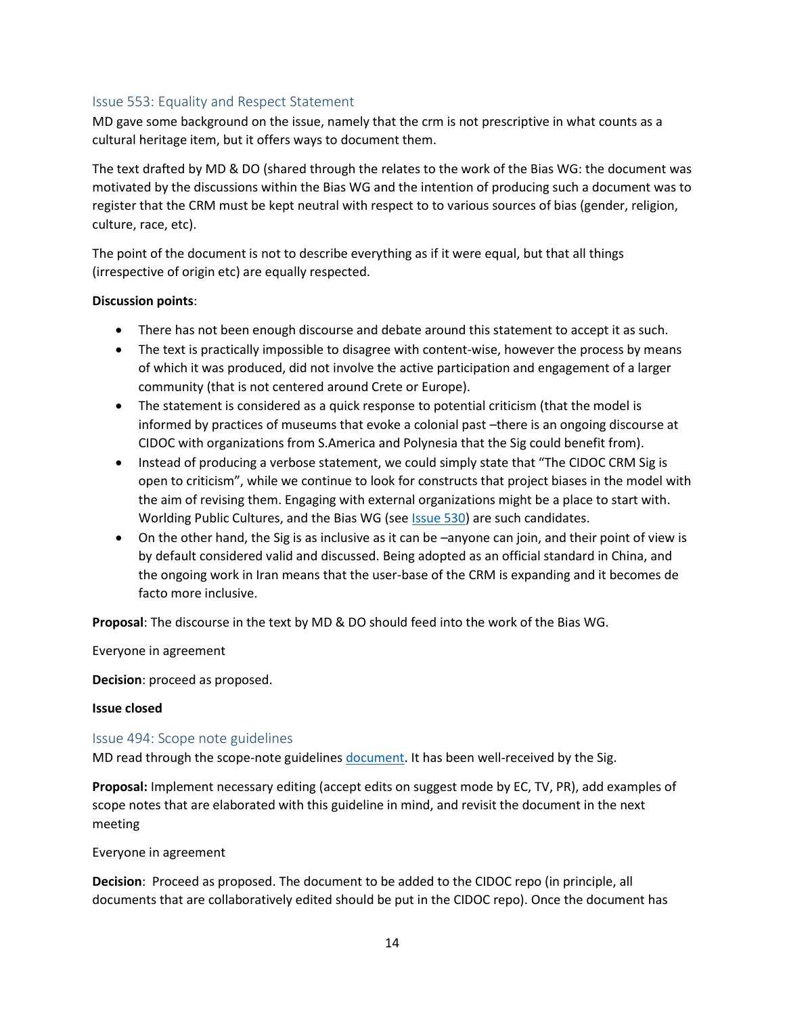## <span id="page-13-0"></span>Issue 553: Equality and Respect Statement

MD gave some background on the issue, namely that the crm is not prescriptive in what counts as a cultural heritage item, but it offers ways to document them.

The text drafted by MD & DO (shared through the relates to the work of the Bias WG: the document was motivated by the discussions within the Bias WG and the intention of producing such a document was to register that the CRM must be kept neutral with respect to to various sources of bias (gender, religion, culture, race, etc).

The point of the document is not to describe everything as if it were equal, but that all things (irrespective of origin etc) are equally respected.

#### **Discussion points**:

- There has not been enough discourse and debate around this statement to accept it as such.
- The text is practically impossible to disagree with content-wise, however the process by means of which it was produced, did not involve the active participation and engagement of a larger community (that is not centered around Crete or Europe).
- The statement is considered as a quick response to potential criticism (that the model is informed by practices of museums that evoke a colonial past –there is an ongoing discourse at CIDOC with organizations from S.America and Polynesia that the Sig could benefit from).
- Instead of producing a verbose statement, we could simply state that "The CIDOC CRM Sig is open to criticism", while we continue to look for constructs that project biases in the model with the aim of revising them. Engaging with external organizations might be a place to start with. Worlding Public Cultures, and the Bias WG (see *Issue 530*) are such candidates.
- On the other hand, the Sig is as inclusive as it can be –anyone can join, and their point of view is by default considered valid and discussed. Being adopted as an official standard in China, and the ongoing work in Iran means that the user-base of the CRM is expanding and it becomes de facto more inclusive.

**Proposal**: The discourse in the text by MD & DO should feed into the work of the Bias WG.

Everyone in agreement

**Decision**: proceed as proposed.

#### **Issue closed**

#### <span id="page-13-1"></span>Issue 494: Scope note guidelines

MD read through the scope-note guideline[s document.](https://cidoc-crm.org/sites/default/files/494%3B%20Scope%20Note%20Writing%2053rd%20sig.docx) It has been well-received by the Sig.

**Proposal:** Implement necessary editing (accept edits on suggest mode by EC, TV, PR), add examples of scope notes that are elaborated with this guideline in mind, and revisit the document in the next meeting

#### Everyone in agreement

**Decision**: Proceed as proposed. The document to be added to the CIDOC repo (in principle, all documents that are collaboratively edited should be put in the CIDOC repo). Once the document has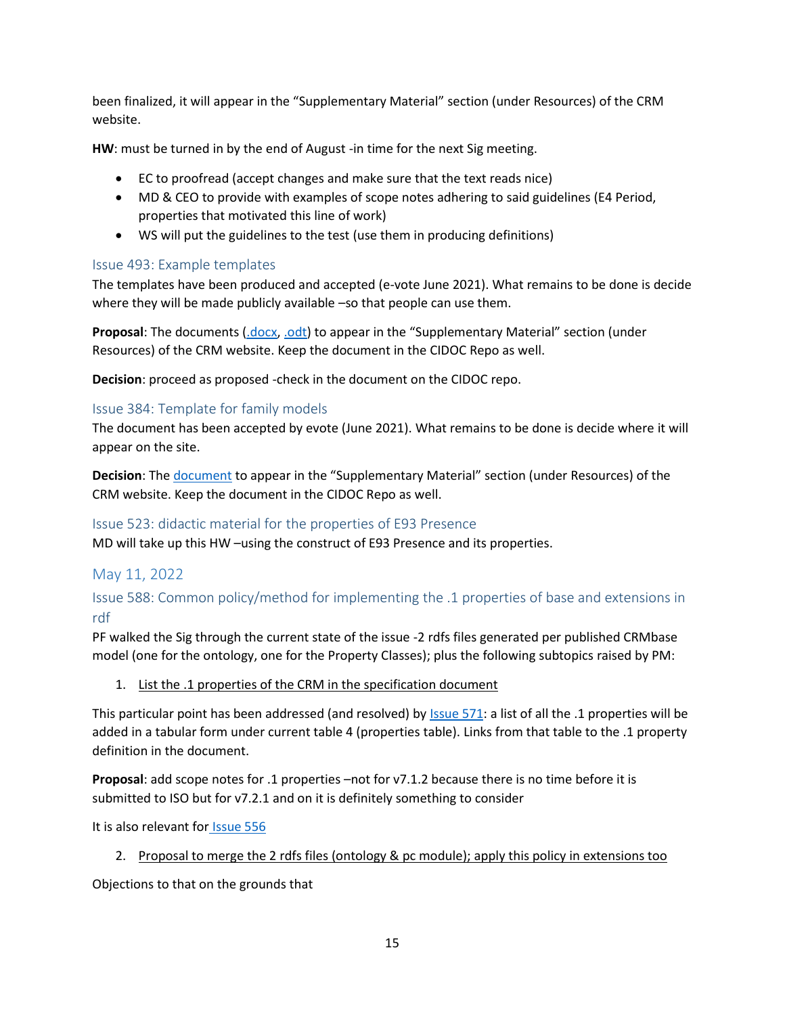been finalized, it will appear in the "Supplementary Material" section (under Resources) of the CRM website.

**HW**: must be turned in by the end of August -in time for the next Sig meeting.

- EC to proofread (accept changes and make sure that the text reads nice)
- MD & CEO to provide with examples of scope notes adhering to said guidelines (E4 Period, properties that motivated this line of work)
- WS will put the guidelines to the test (use them in producing definitions)

# <span id="page-14-0"></span>Issue 493: Example templates

The templates have been produced and accepted (e-vote June 2021). What remains to be done is decide where they will be made publicly available –so that people can use them.

**Proposal**: The documents [\(.docx,](https://cidoc-crm.org/sites/default/files/example-template.docx) [.odt\)](https://cidoc-crm.org/sites/default/files/example-template.odt) to appear in the "Supplementary Material" section (under Resources) of the CRM website. Keep the document in the CIDOC Repo as well.

**Decision**: proceed as proposed -check in the document on the CIDOC repo.

## <span id="page-14-1"></span>Issue 384: Template for family models

The document has been accepted by evote (June 2021). What remains to be done is decide where it will appear on the site.

**Decision**: The [document](https://cidoc-crm.org/sites/default/files/384-familyModeltemplate-with-tables-of-classes-and-properties.docx) to appear in the "Supplementary Material" section (under Resources) of the CRM website. Keep the document in the CIDOC Repo as well.

# <span id="page-14-2"></span>Issue 523: didactic material for the properties of E93 Presence

MD will take up this HW –using the construct of E93 Presence and its properties.

# <span id="page-14-3"></span>May 11, 2022

<span id="page-14-4"></span>Issue 588: Common policy/method for implementing the .1 properties of base and extensions in rdf

PF walked the Sig through the current state of the issue -2 rdfs files generated per published CRMbase model (one for the ontology, one for the Property Classes); plus the following subtopics raised by PM:

## 1. List the .1 properties of the CRM in the specification document

This particular point has been addressed (and resolved) by [Issue](#page-7-1) 571: a list of all the .1 properties will be added in a tabular form under current table 4 (properties table). Links from that table to the .1 property definition in the document.

**Proposal**: add scope notes for .1 properties –not for v7.1.2 because there is no time before it is submitted to ISO but for v7.2.1 and on it is definitely something to consider

It is also relevant for [Issue 556](#page-7-2)

## 2. Proposal to merge the 2 rdfs files (ontology & pc module); apply this policy in extensions too

Objections to that on the grounds that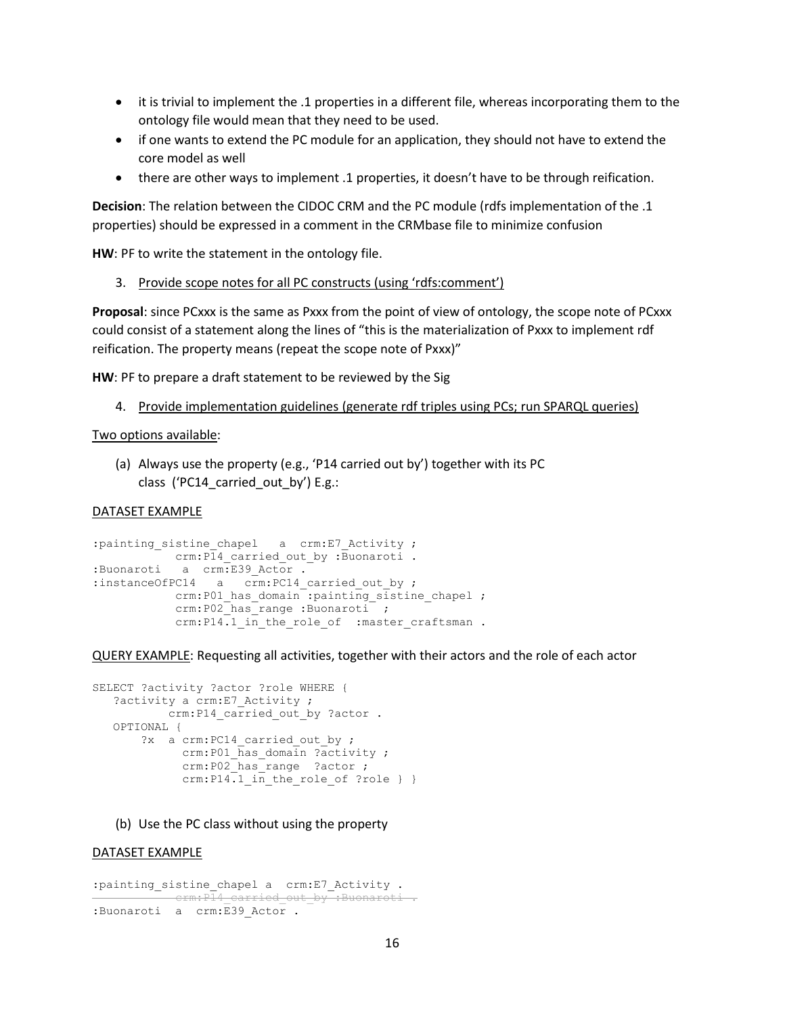- it is trivial to implement the .1 properties in a different file, whereas incorporating them to the ontology file would mean that they need to be used.
- if one wants to extend the PC module for an application, they should not have to extend the core model as well
- there are other ways to implement .1 properties, it doesn't have to be through reification.

**Decision**: The relation between the CIDOC CRM and the PC module (rdfs implementation of the .1 properties) should be expressed in a comment in the CRMbase file to minimize confusion

**HW**: PF to write the statement in the ontology file.

3. Provide scope notes for all PC constructs (using 'rdfs:comment')

**Proposal**: since PCxxx is the same as Pxxx from the point of view of ontology, the scope note of PCxxx could consist of a statement along the lines of "this is the materialization of Pxxx to implement rdf reification. The property means (repeat the scope note of Pxxx)"

**HW**: PF to prepare a draft statement to be reviewed by the Sig

4. Provide implementation guidelines (generate rdf triples using PCs; run SPARQL queries)

#### Two options available:

(a) Always use the property (e.g., 'P14 carried out by') together with its PC class ('PC14 carried out by') E.g.:

#### DATASET EXAMPLE

```
:painting_sistine_chapel a crm:E7_Activity ;
crm:P14 carried out by :Buonaroti .
:Buonaroti a crm:E39_Actor .
:instanceOfPC14 a crm:PC14_carried_out_by ;
          crm:P01 has domain :painting sistine chapel ;
          crm:P02 has range :Buonaroti ;
          crm:P14.1 in the role of :master craftsman .
```
QUERY EXAMPLE: Requesting all activities, together with their actors and the role of each actor

```
SELECT ?activity ?actor ?role WHERE { 
   ?activity a crm: E7 Activity ;
          crm:P14 carried out by ?actor .
    OPTIONAL {
       ?x a crm: PC14 carried out by ;
              crm:P01_has_domain ?activity ; 
              crm:P02_has_range ?actor ; 
             crm:P14.1 in the role of ?role } }
```
(b) Use the PC class without using the property

#### DATASET EXAMPLE

```
:painting_sistine_chapel a crm:E7_Activity .
   crm:P14_carried_out_by :Buonaroti
:Buonaroti a crm:E39 Actor .
```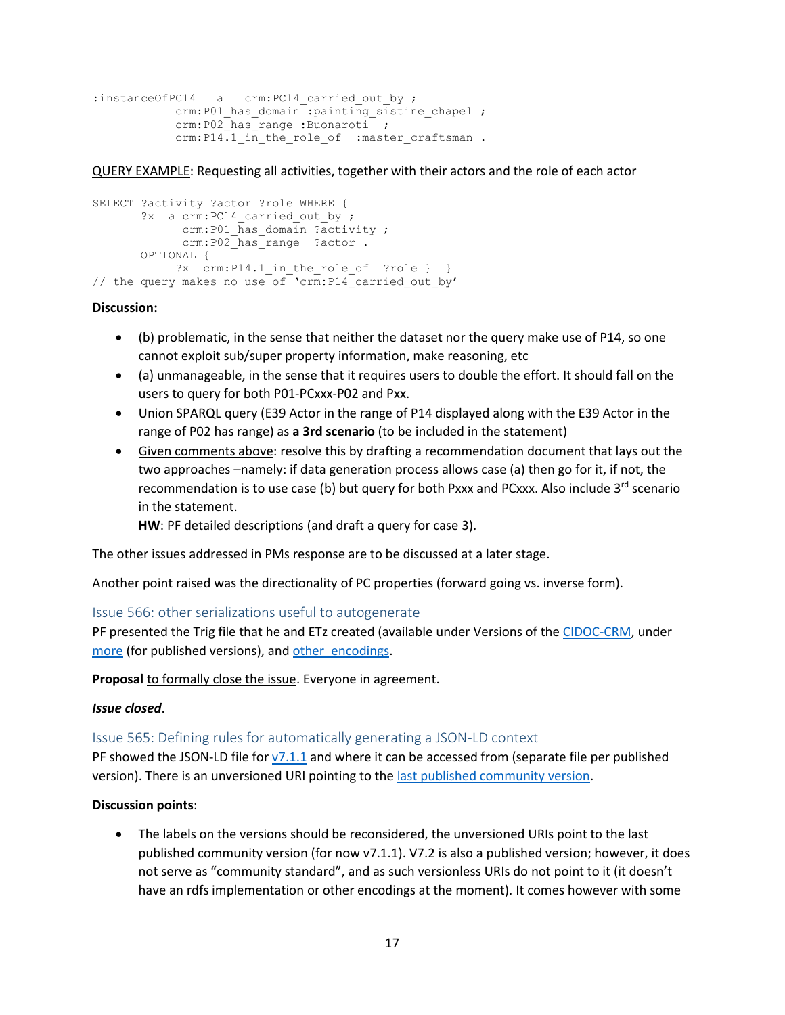```
:instanceOfPC14 a crm:PC14 carried out by ;
          crm:P01 has domain :painting sistine chapel ;
           crm:P02 has range :Buonaroti ;
           crm:P14.1 in the role of :master craftsman .
```
QUERY EXAMPLE: Requesting all activities, together with their actors and the role of each actor

```
SELECT ?activity ?actor ?role WHERE { 
       ?x a crm: PC14 carried out by ;
             crm:P01 has domain ?activity ;
            crm:P02<sup>has_range ?actor</sup> .
        OPTIONAL { 
           ?x crm: P14.1 in the role of ?role } }
// the query makes no use of 'crm:P14_carried_out_by'
```
#### **Discussion:**

- (b) problematic, in the sense that neither the dataset nor the query make use of P14, so one cannot exploit sub/super property information, make reasoning, etc
- (a) unmanageable, in the sense that it requires users to double the effort. It should fall on the users to query for both P01-PCxxx-P02 and Pxx.
- Union SPARQL query (E39 Actor in the range of P14 displayed along with the E39 Actor in the range of P02 has range) as **a 3rd scenario** (to be included in the statement)
- Given comments above: resolve this by drafting a recommendation document that lays out the two approaches –namely: if data generation process allows case (a) then go for it, if not, the recommendation is to use case (b) but query for both Pxxx and PCxxx. Also include  $3<sup>rd</sup>$  scenario in the statement.

**HW**: PF detailed descriptions (and draft a query for case 3).

The other issues addressed in PMs response are to be discussed at a later stage.

Another point raised was the directionality of PC properties (forward going vs. inverse form).

## <span id="page-16-0"></span>Issue 566: other serializations useful to autogenerate

PF presented the Trig file that he and ETz created (available under Versions of the [CIDOC-CRM,](https://cidoc-crm.org/versions-of-the-cidoc-crm) under [more](https://gitlab.isl.ics.forth.gr/cidoc-crm/cidoc_crm_rdf/-/tree/master/7.1.1) (for published versions), and other encodings.

**Proposal** to formally close the issue. Everyone in agreement.

#### *Issue closed*.

<span id="page-16-1"></span>Issue 565: Defining rules for automatically generating a JSON-LD context

PF showed the JSON-LD file for [v7.1.1](https://cidoc-crm.org/rdfs/7.1.1/CIDOC_CRM_v7.1.1_JSON-LD_Context.jsonld) and where it can be accessed from (separate file per published version). There is an unversioned URI pointing to th[e last published community version.](http://www.cidoc-crm.org/cidoc-crm/json-ld_context.jsonld)

#### **Discussion points**:

• The labels on the versions should be reconsidered, the unversioned URIs point to the last published community version (for now v7.1.1). V7.2 is also a published version; however, it does not serve as "community standard", and as such versionless URIs do not point to it (it doesn't have an rdfs implementation or other encodings at the moment). It comes however with some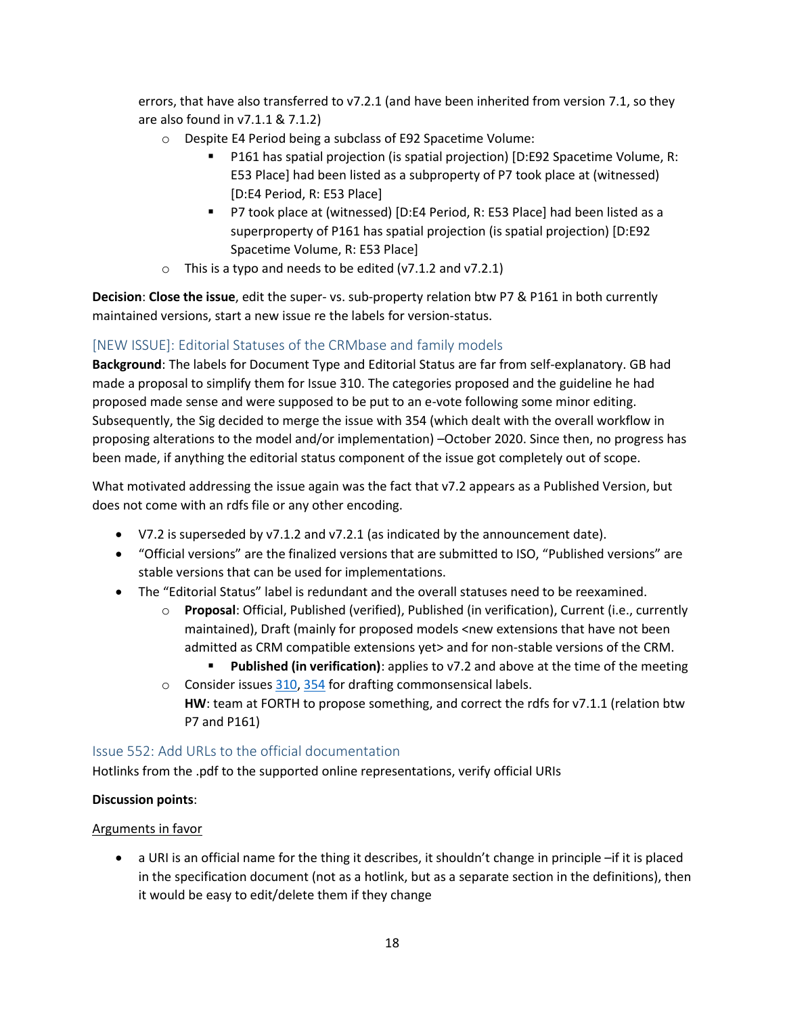errors, that have also transferred to v7.2.1 (and have been inherited from version 7.1, so they are also found in v7.1.1 & 7.1.2)

- o Despite E4 Period being a subclass of E92 Spacetime Volume:
	- P161 has spatial projection (is spatial projection) [D:E92 Spacetime Volume, R: E53 Place] had been listed as a subproperty of P7 took place at (witnessed) [D:E4 Period, R: E53 Place]
	- P7 took place at (witnessed) [D:E4 Period, R: E53 Place] had been listed as a superproperty of P161 has spatial projection (is spatial projection) [D:E92 Spacetime Volume, R: E53 Place]
- $\circ$  This is a typo and needs to be edited (v7.1.2 and v7.2.1)

**Decision**: **Close the issue**, edit the super- vs. sub-property relation btw P7 & P161 in both currently maintained versions, start a new issue re the labels for version-status.

# <span id="page-17-0"></span>[NEW ISSUE]: Editorial Statuses of the CRMbase and family models

**Background**: The labels for Document Type and Editorial Status are far from self-explanatory. GB had made a proposal to simplify them for Issue 310. The categories proposed and the guideline he had proposed made sense and were supposed to be put to an e-vote following some minor editing. Subsequently, the Sig decided to merge the issue with 354 (which dealt with the overall workflow in proposing alterations to the model and/or implementation) –October 2020. Since then, no progress has been made, if anything the editorial status component of the issue got completely out of scope.

What motivated addressing the issue again was the fact that v7.2 appears as a Published Version, but does not come with an rdfs file or any other encoding.

- V7.2 is superseded by v7.1.2 and v7.2.1 (as indicated by the announcement date).
- "Official versions" are the finalized versions that are submitted to ISO, "Published versions" are stable versions that can be used for implementations.
- The "Editorial Status" label is redundant and the overall statuses need to be reexamined.
	- o **Proposal**: Official, Published (verified), Published (in verification), Current (i.e., currently maintained), Draft (mainly for proposed models <new extensions that have not been admitted as CRM compatible extensions yet> and for non-stable versions of the CRM.
		- **Published (in verification)**: applies to v7.2 and above at the time of the meeting
	- o Consider issues [310,](https://cidoc-crm.org/Issue/ID-310-editorial-status-in-cidoc-crm-and-crm-family-models-releases) [354](https://cidoc-crm.org/Issue/ID-354-management-of-issues-and-workflow) for drafting commonsensical labels. **HW**: team at FORTH to propose something, and correct the rdfs for v7.1.1 (relation btw P7 and P161)

## <span id="page-17-1"></span>Issue 552: Add URLs to the official documentation

Hotlinks from the .pdf to the supported online representations, verify official URIs

## **Discussion points**:

#### Arguments in favor

• a URI is an official name for the thing it describes, it shouldn't change in principle –if it is placed in the specification document (not as a hotlink, but as a separate section in the definitions), then it would be easy to edit/delete them if they change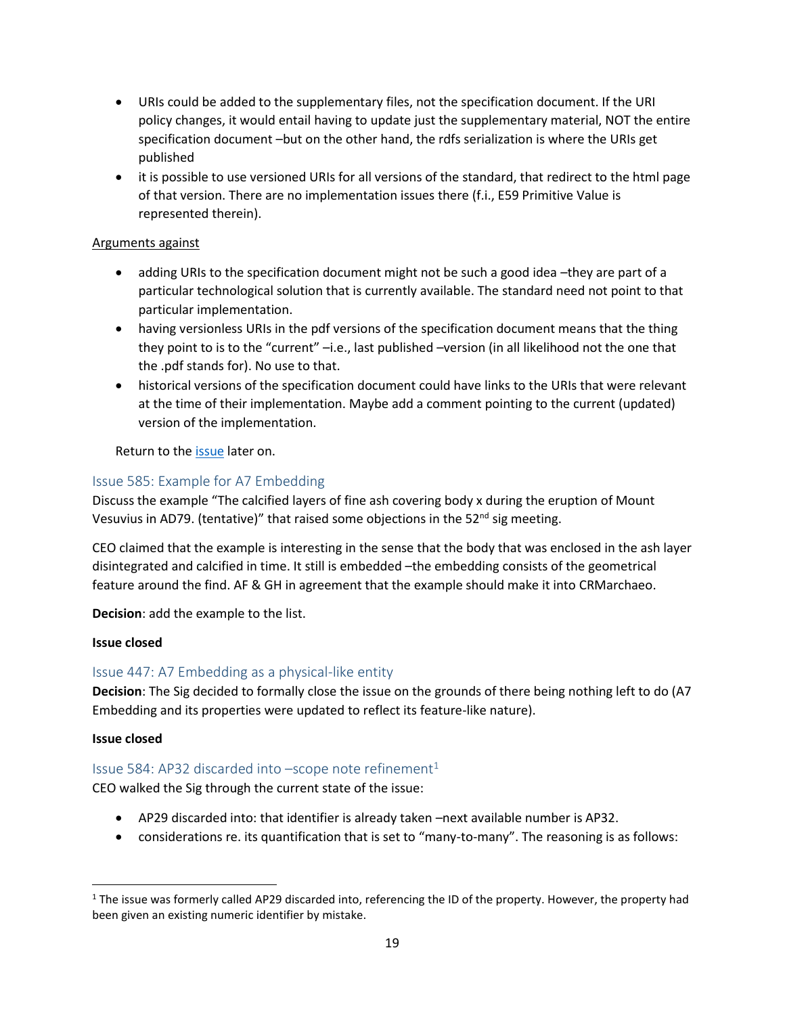- URIs could be added to the supplementary files, not the specification document. If the URI policy changes, it would entail having to update just the supplementary material, NOT the entire specification document –but on the other hand, the rdfs serialization is where the URIs get published
- it is possible to use versioned URIs for all versions of the standard, that redirect to the html page of that version. There are no implementation issues there (f.i., E59 Primitive Value is represented therein).

### Arguments against

- adding URIs to the specification document might not be such a good idea –they are part of a particular technological solution that is currently available. The standard need not point to that particular implementation.
- having versionless URIs in the pdf versions of the specification document means that the thing they point to is to the "current" –i.e., last published –version (in all likelihood not the one that the .pdf stands for). No use to that.
- historical versions of the specification document could have links to the URIs that were relevant at the time of their implementation. Maybe add a comment pointing to the current (updated) version of the implementation.

Return to the [issue](#page-20-3) later on.

# <span id="page-18-0"></span>Issue 585: Example for A7 Embedding

Discuss the example "The calcified layers of fine ash covering body x during the eruption of Mount Vesuvius in AD79. (tentative)" that raised some objections in the 52<sup>nd</sup> sig meeting.

CEO claimed that the example is interesting in the sense that the body that was enclosed in the ash layer disintegrated and calcified in time. It still is embedded –the embedding consists of the geometrical feature around the find. AF & GH in agreement that the example should make it into CRMarchaeo.

**Decision**: add the example to the list.

#### **Issue closed**

## <span id="page-18-1"></span>Issue 447: A7 Embedding as a physical-like entity

**Decision**: The Sig decided to formally close the issue on the grounds of there being nothing left to do (A7 Embedding and its properties were updated to reflect its feature-like nature).

#### **Issue closed**

## <span id="page-18-2"></span>Issue 584: AP32 discarded into  $-$ scope note refinement $1$

CEO walked the Sig through the current state of the issue:

- AP29 discarded into: that identifier is already taken –next available number is AP32.
- considerations re. its quantification that is set to "many-to-many". The reasoning is as follows:

 $1$  The issue was formerly called AP29 discarded into, referencing the ID of the property. However, the property had been given an existing numeric identifier by mistake.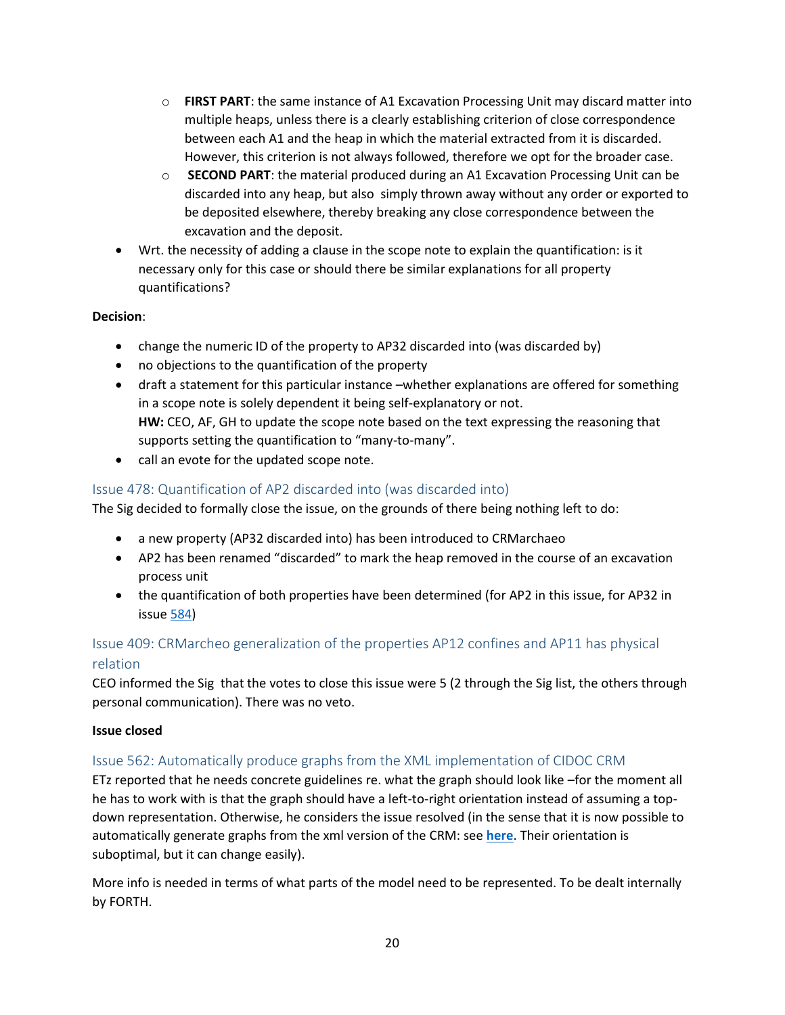- o **FIRST PART**: the same instance of A1 Excavation Processing Unit may discard matter into multiple heaps, unless there is a clearly establishing criterion of close correspondence between each A1 and the heap in which the material extracted from it is discarded. However, this criterion is not always followed, therefore we opt for the broader case.
- o **SECOND PART**: the material produced during an A1 Excavation Processing Unit can be discarded into any heap, but also simply thrown away without any order or exported to be deposited elsewhere, thereby breaking any close correspondence between the excavation and the deposit.
- Wrt. the necessity of adding a clause in the scope note to explain the quantification: is it necessary only for this case or should there be similar explanations for all property quantifications?

## **Decision**:

- change the numeric ID of the property to AP32 discarded into (was discarded by)
- no objections to the quantification of the property
- draft a statement for this particular instance –whether explanations are offered for something in a scope note is solely dependent it being self-explanatory or not. **HW:** CEO, AF, GH to update the scope note based on the text expressing the reasoning that supports setting the quantification to "many-to-many".
- call an evote for the updated scope note.

# <span id="page-19-0"></span>Issue 478: Quantification of AP2 discarded into (was discarded into)

The Sig decided to formally close the issue, on the grounds of there being nothing left to do:

- a new property (AP32 discarded into) has been introduced to CRMarchaeo
- AP2 has been renamed "discarded" to mark the heap removed in the course of an excavation process unit
- the quantification of both properties have been determined (for AP2 in this issue, for AP32 in issue [584\)](#page-18-2)

# <span id="page-19-1"></span>Issue 409: CRMarcheo generalization of the properties AP12 confines and AP11 has physical relation

CEO informed the Sig that the votes to close this issue were 5 (2 through the Sig list, the others through personal communication). There was no veto.

#### **Issue closed**

## <span id="page-19-2"></span>Issue 562: Automatically produce graphs from the XML implementation of CIDOC CRM

ETz reported that he needs concrete guidelines re. what the graph should look like –for the moment all he has to work with is that the graph should have a left-to-right orientation instead of assuming a topdown representation. Otherwise, he considers the issue resolved (in the sense that it is now possible to automatically generate graphs from the xml version of the CRM: see **[here](https://cidoc-crm.org/html/cidoc_crm_v7.1.1.html)**. Their orientation is suboptimal, but it can change easily).

More info is needed in terms of what parts of the model need to be represented. To be dealt internally by FORTH.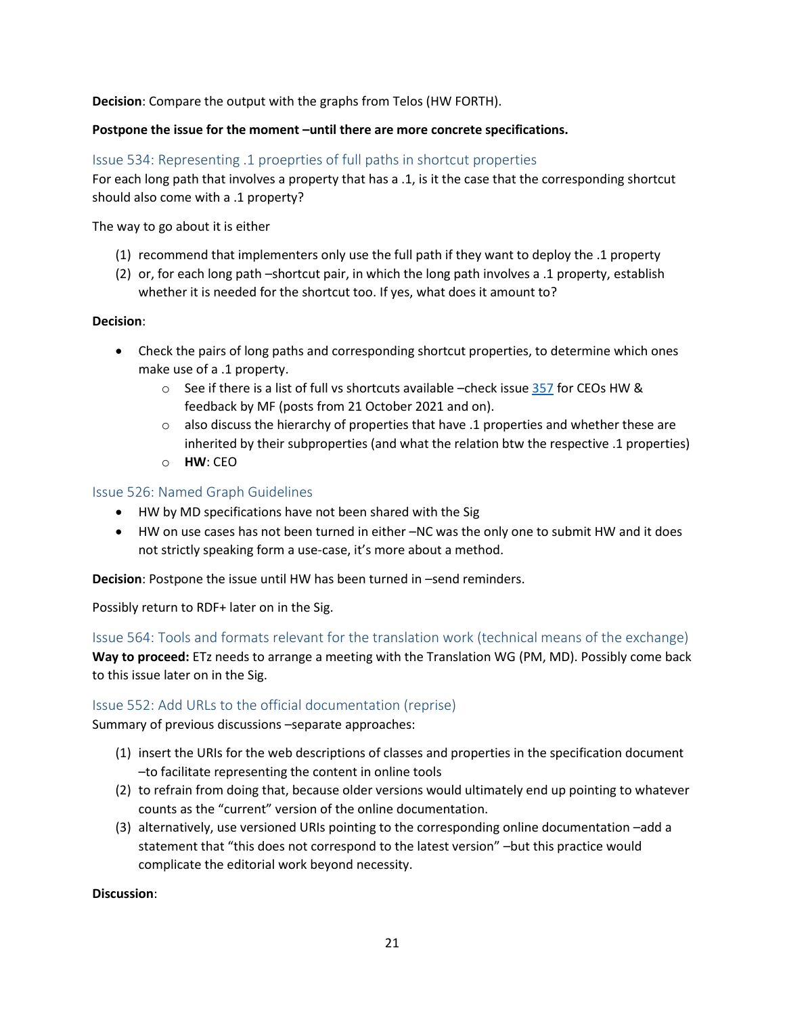**Decision**: Compare the output with the graphs from Telos (HW FORTH).

### Postpone the issue for the moment -until there are more concrete specifications.

## <span id="page-20-0"></span>Issue 534: Representing .1 proeprties of full paths in shortcut properties

For each long path that involves a property that has a .1, is it the case that the corresponding shortcut should also come with a .1 property?

The way to go about it is either

- (1) recommend that implementers only use the full path if they want to deploy the .1 property
- (2) or, for each long path –shortcut pair, in which the long path involves a .1 property, establish whether it is needed for the shortcut too. If yes, what does it amount to?

## **Decision**:

- Check the pairs of long paths and corresponding shortcut properties, to determine which ones make use of a .1 property.
	- $\circ$  See if there is a list of full vs shortcuts available –check issue [357](https://cidoc-crm.org/Issue/ID-357-fol-representation-for-shortcuts) for CEOs HW & feedback by MF (posts from 21 October 2021 and on).
	- $\circ$  also discuss the hierarchy of properties that have .1 properties and whether these are inherited by their subproperties (and what the relation btw the respective .1 properties)
	- o **HW**: CEO

## <span id="page-20-1"></span>Issue 526: Named Graph Guidelines

- HW by MD specifications have not been shared with the Sig
- HW on use cases has not been turned in either –NC was the only one to submit HW and it does not strictly speaking form a use-case, it's more about a method.

**Decision**: Postpone the issue until HW has been turned in –send reminders.

Possibly return to RDF+ later on in the Sig.

<span id="page-20-2"></span>Issue 564: Tools and formats relevant for the translation work (technical means of the exchange) **Way to proceed:** ETz needs to arrange a meeting with the Translation WG (PM, MD). Possibly come back to this issue later on in the Sig.

## <span id="page-20-3"></span>Issue 552: Add URLs to the official documentation (reprise)

Summary of previous discussions –separate approaches:

- (1) insert the URIs for the web descriptions of classes and properties in the specification document –to facilitate representing the content in online tools
- (2) to refrain from doing that, because older versions would ultimately end up pointing to whatever counts as the "current" version of the online documentation.
- (3) alternatively, use versioned URIs pointing to the corresponding online documentation –add a statement that "this does not correspond to the latest version" –but this practice would complicate the editorial work beyond necessity.

**Discussion**: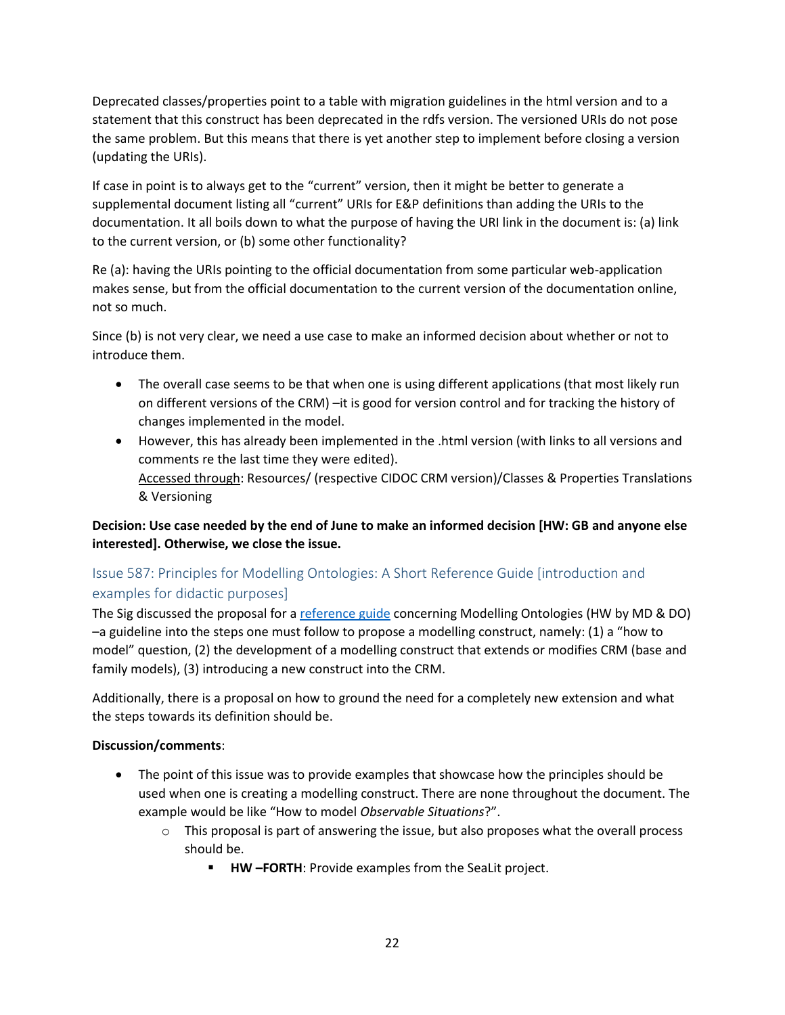Deprecated classes/properties point to a table with migration guidelines in the html version and to a statement that this construct has been deprecated in the rdfs version. The versioned URIs do not pose the same problem. But this means that there is yet another step to implement before closing a version (updating the URIs).

If case in point is to always get to the "current" version, then it might be better to generate a supplemental document listing all "current" URIs for E&P definitions than adding the URIs to the documentation. It all boils down to what the purpose of having the URI link in the document is: (a) link to the current version, or (b) some other functionality?

Re (a): having the URIs pointing to the official documentation from some particular web-application makes sense, but from the official documentation to the current version of the documentation online, not so much.

Since (b) is not very clear, we need a use case to make an informed decision about whether or not to introduce them.

- The overall case seems to be that when one is using different applications (that most likely run on different versions of the CRM) –it is good for version control and for tracking the history of changes implemented in the model.
- However, this has already been implemented in the .html version (with links to all versions and comments re the last time they were edited). Accessed through: Resources/ (respective CIDOC CRM version)/Classes & Properties Translations & Versioning

# **Decision: Use case needed by the end of June to make an informed decision [HW: GB and anyone else interested]. Otherwise, we close the issue.**

# <span id="page-21-0"></span>Issue 587: Principles for Modelling Ontologies: A Short Reference Guide [introduction and examples for didactic purposes]

The Sig discussed the proposal for a [reference guide](https://cidoc-crm.org/sites/default/files/Issue587_New%20Class%20_%20Property%20_%20Extension%20Checkllist.docx) concerning Modelling Ontologies (HW by MD & DO) –a guideline into the steps one must follow to propose a modelling construct, namely: (1) a "how to model" question, (2) the development of a modelling construct that extends or modifies CRM (base and family models), (3) introducing a new construct into the CRM.

Additionally, there is a proposal on how to ground the need for a completely new extension and what the steps towards its definition should be.

## **Discussion/comments**:

- The point of this issue was to provide examples that showcase how the principles should be used when one is creating a modelling construct. There are none throughout the document. The example would be like "How to model *Observable Situations*?".
	- $\circ$  This proposal is part of answering the issue, but also proposes what the overall process should be.
		- **HW –FORTH**: Provide examples from the SeaLit project.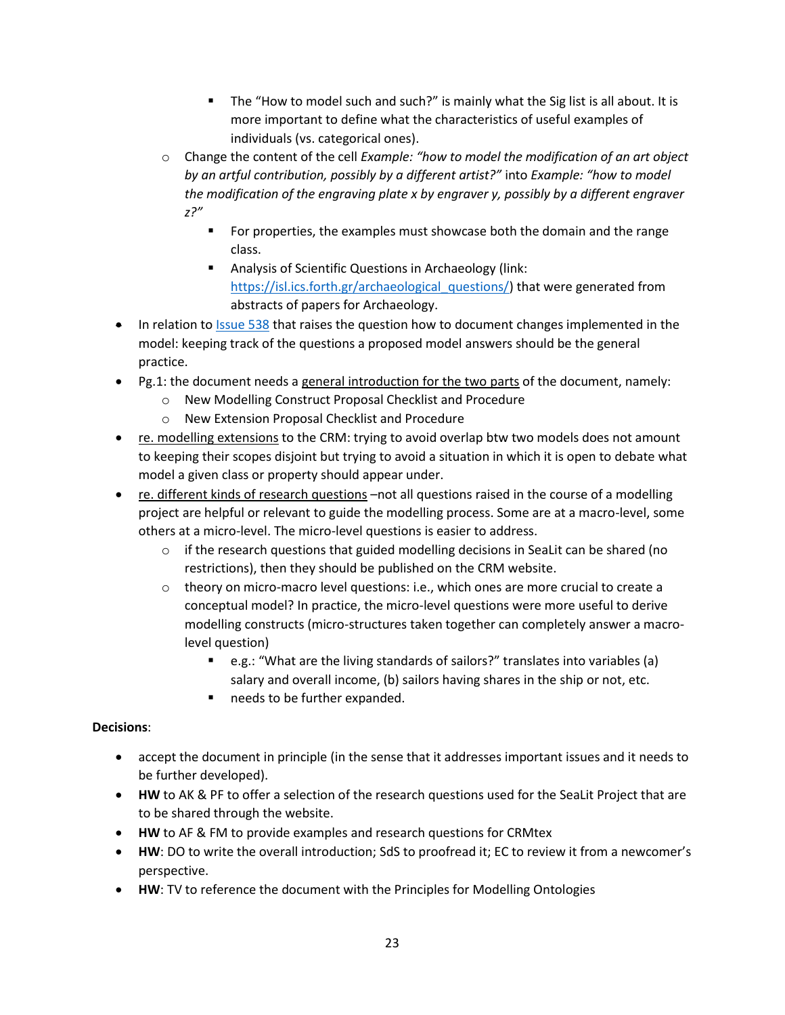- The "How to model such and such?" is mainly what the Sig list is all about. It is more important to define what the characteristics of useful examples of individuals (vs. categorical ones).
- o Change the content of the cell *Example: "how to model the modification of an art object by an artful contribution, possibly by a different artist?"* into *Example: "how to model the modification of the engraving plate x by engraver y, possibly by a different engraver z?"*
	- For properties, the examples must showcase both the domain and the range class.
	- Analysis of Scientific Questions in Archaeology (link: [https://isl.ics.forth.gr/archaeological\\_questions/\)](https://isl.ics.forth.gr/archaeological_questions/) that were generated from abstracts of papers for Archaeology.
- In relation t[o Issue 538](https://cidoc-crm.org/Issue/ID-538-documenting-the-changes-in-the-crm) that raises the question how to document changes implemented in the model: keeping track of the questions a proposed model answers should be the general practice.
- Pg.1: the document needs a general introduction for the two parts of the document, namely:
	- o New Modelling Construct Proposal Checklist and Procedure
	- o New Extension Proposal Checklist and Procedure
- re. modelling extensions to the CRM: trying to avoid overlap btw two models does not amount to keeping their scopes disjoint but trying to avoid a situation in which it is open to debate what model a given class or property should appear under.
- re. different kinds of research questions –not all questions raised in the course of a modelling project are helpful or relevant to guide the modelling process. Some are at a macro-level, some others at a micro-level. The micro-level questions is easier to address.
	- $\circ$  if the research questions that guided modelling decisions in SeaLit can be shared (no restrictions), then they should be published on the CRM website.
	- $\circ$  theory on micro-macro level questions: i.e., which ones are more crucial to create a conceptual model? In practice, the micro-level questions were more useful to derive modelling constructs (micro-structures taken together can completely answer a macrolevel question)
		- e.g.: "What are the living standards of sailors?" translates into variables (a) salary and overall income, (b) sailors having shares in the ship or not, etc.
		- needs to be further expanded.

# **Decisions**:

- accept the document in principle (in the sense that it addresses important issues and it needs to be further developed).
- **HW** to AK & PF to offer a selection of the research questions used for the SeaLit Project that are to be shared through the website.
- **HW** to AF & FM to provide examples and research questions for CRMtex
- **HW**: DO to write the overall introduction; SdS to proofread it; EC to review it from a newcomer's perspective.
- **HW**: TV to reference the document with the Principles for Modelling Ontologies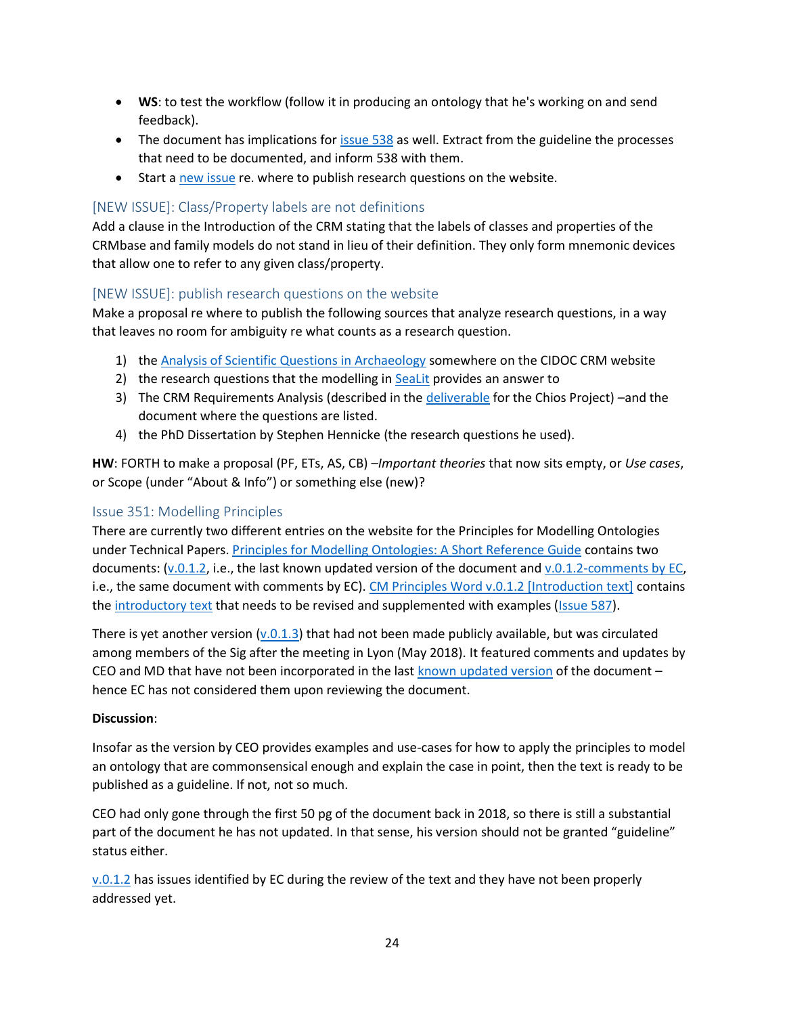- **WS**: to test the workflow (follow it in producing an ontology that he's working on and send feedback).
- The document has implications for [issue 538](https://cidoc-crm.org/Issue/ID-538-documenting-the-changes-in-the-crm) as well. Extract from the guideline the processes that need to be documented, and inform 538 with them.
- Start a [new issue](#page-23-1) re. where to publish research questions on the website.

# <span id="page-23-0"></span>[NEW ISSUE]: Class/Property labels are not definitions

Add a clause in the Introduction of the CRM stating that the labels of classes and properties of the CRMbase and family models do not stand in lieu of their definition. They only form mnemonic devices that allow one to refer to any given class/property.

# <span id="page-23-1"></span>[NEW ISSUE]: publish research questions on the website

Make a proposal re where to publish the following sources that analyze research questions, in a way that leaves no room for ambiguity re what counts as a research question.

- 1) th[e Analysis of Scientific Questions in Archaeology](https://isl.ics.forth.gr/archaeological_questions/) somewhere on the CIDOC CRM website
- 2) the research questions that the modelling in [SeaLit](https://www.sealitproject.eu/) provides an answer to
- 3) The CRM Requirements Analysis (described in the [deliverable](https://cidoc-crm.org/sites/default/files/CHIOS%20Work%20Package%202%20Requirements%20Analysis%203.doc) for the Chios Project) –and the document where the questions are listed.
- 4) the PhD Dissertation by Stephen Hennicke (the research questions he used).

**HW**: FORTH to make a proposal (PF, ETs, AS, CB) –*Important theories* that now sits empty, or *Use cases*, or Scope (under "About & Info") or something else (new)?

## <span id="page-23-2"></span>Issue 351: Modelling Principles

There are currently two different entries on the website for the Principles for Modelling Ontologies under Technical Papers. [Principles for Modelling Ontologies: A Short Reference Guide](https://cidoc-crm.org/Resources/principles-for-modelling-ontologies-a-short-reference-guide) contains two documents:  $(v.0.1.2)$ , i.e., the last known updated version of the document and  $v.0.1.2$ -comments by EC, i.e., the same document with comments by EC). [CM Principles Word v.0.1.2 \[Introduction text\]](https://cidoc-crm.org/Resources/cm-principles-word-v.0.1.2-introduction-text) contains th[e introductory text](https://cidoc-crm.org/sites/default/files/CM%20Principles%20Word%20v.0.1.2%20%5BIntroduction%20text%5D.docx) that needs to be revised and supplemented with examples [\(Issue 587\)](https://cidoc-crm.org/Issue/ID-587-principles-for-modelling-ontologies-a-short-reference-guide-introduction-and-examples).

There is yet another version  $(v.0.1.3)$  that had not been made publicly available, but was circulated among members of the Sig after the meeting in Lyon (May 2018). It featured comments and updates by CEO and MD that have not been incorporated in the last [known updated version](https://cidoc-crm.org/sites/default/files/CM%20Principles%20Word%20v.0.1.2.docx) of the document – hence EC has not considered them upon reviewing the document.

#### **Discussion**:

Insofar as the version by CEO provides examples and use-cases for how to apply the principles to model an ontology that are commonsensical enough and explain the case in point, then the text is ready to be published as a guideline. If not, not so much.

CEO had only gone through the first 50 pg of the document back in 2018, so there is still a substantial part of the document he has not updated. In that sense, his version should not be granted "guideline" status either.

[v.0.1.2](https://cidoc-crm.org/sites/default/files/CM%20Principles%20Word%20v.0.1.2.docx) has issues identified by EC during the review of the text and they have not been properly addressed yet.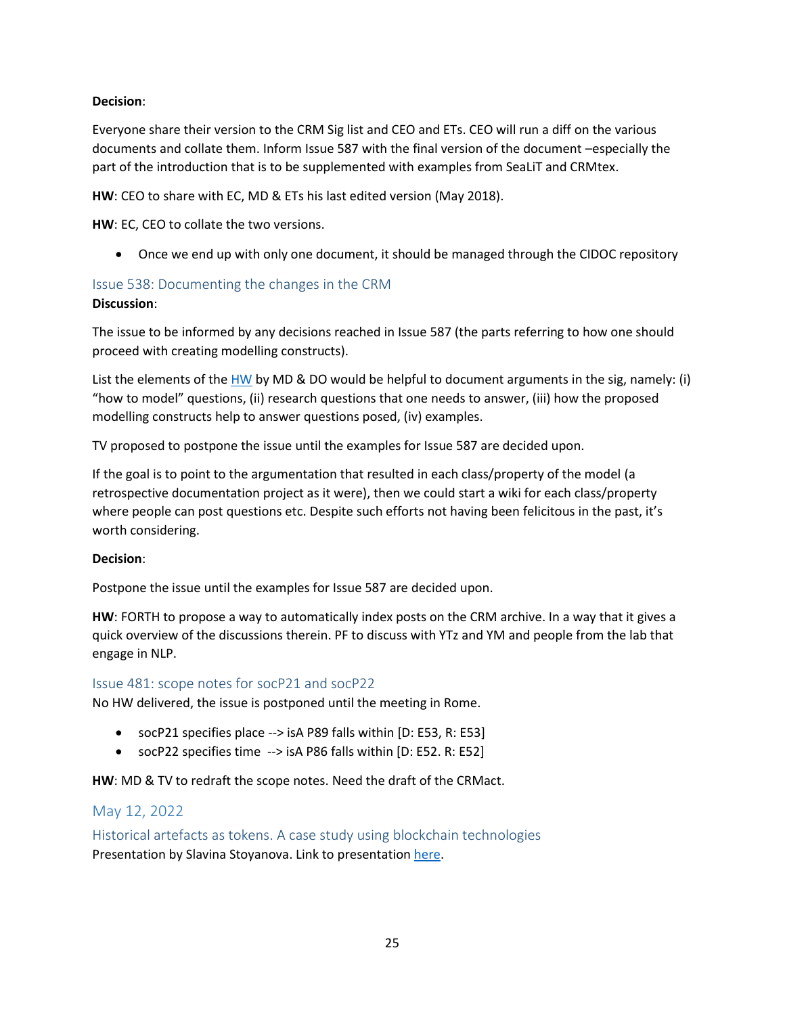## **Decision**:

Everyone share their version to the CRM Sig list and CEO and ETs. CEO will run a diff on the various documents and collate them. Inform Issue 587 with the final version of the document –especially the part of the introduction that is to be supplemented with examples from SeaLiT and CRMtex.

**HW**: CEO to share with EC, MD & ETs his last edited version (May 2018).

**HW**: EC, CEO to collate the two versions.

• Once we end up with only one document, it should be managed through the CIDOC repository

## <span id="page-24-0"></span>Issue 538: Documenting the changes in the CRM

#### **Discussion**:

The issue to be informed by any decisions reached in Issue 587 (the parts referring to how one should proceed with creating modelling constructs).

List the elements of the [HW](https://cidoc-crm.org/sites/default/files/Issue587_New%20Class%20_%20Property%20_%20Extension%20Checkllist.docx) by MD & DO would be helpful to document arguments in the sig, namely: (i) "how to model" questions, (ii) research questions that one needs to answer, (iii) how the proposed modelling constructs help to answer questions posed, (iv) examples.

TV proposed to postpone the issue until the examples for Issue 587 are decided upon.

If the goal is to point to the argumentation that resulted in each class/property of the model (a retrospective documentation project as it were), then we could start a wiki for each class/property where people can post questions etc. Despite such efforts not having been felicitous in the past, it's worth considering.

#### **Decision**:

Postpone the issue until the examples for Issue 587 are decided upon.

**HW**: FORTH to propose a way to automatically index posts on the CRM archive. In a way that it gives a quick overview of the discussions therein. PF to discuss with YTz and YM and people from the lab that engage in NLP.

## <span id="page-24-1"></span>Issue 481: scope notes for socP21 and socP22

No HW delivered, the issue is postponed until the meeting in Rome.

- socP21 specifies place --> isA P89 falls within [D: E53, R: E53]
- socP22 specifies time --> isA P86 falls within [D: E52. R: E52]

**HW**: MD & TV to redraft the scope notes. Need the draft of the CRMact.

# <span id="page-24-2"></span>May 12, 2022

<span id="page-24-3"></span>Historical artefacts as tokens. A case study using blockchain technologies Presentation by Slavina Stoyanova. Link to presentation [here.](https://cidoc-crm.org/Resources/historical-artefacts-as-tokens.-a-case-study-using-blockchain-technologies)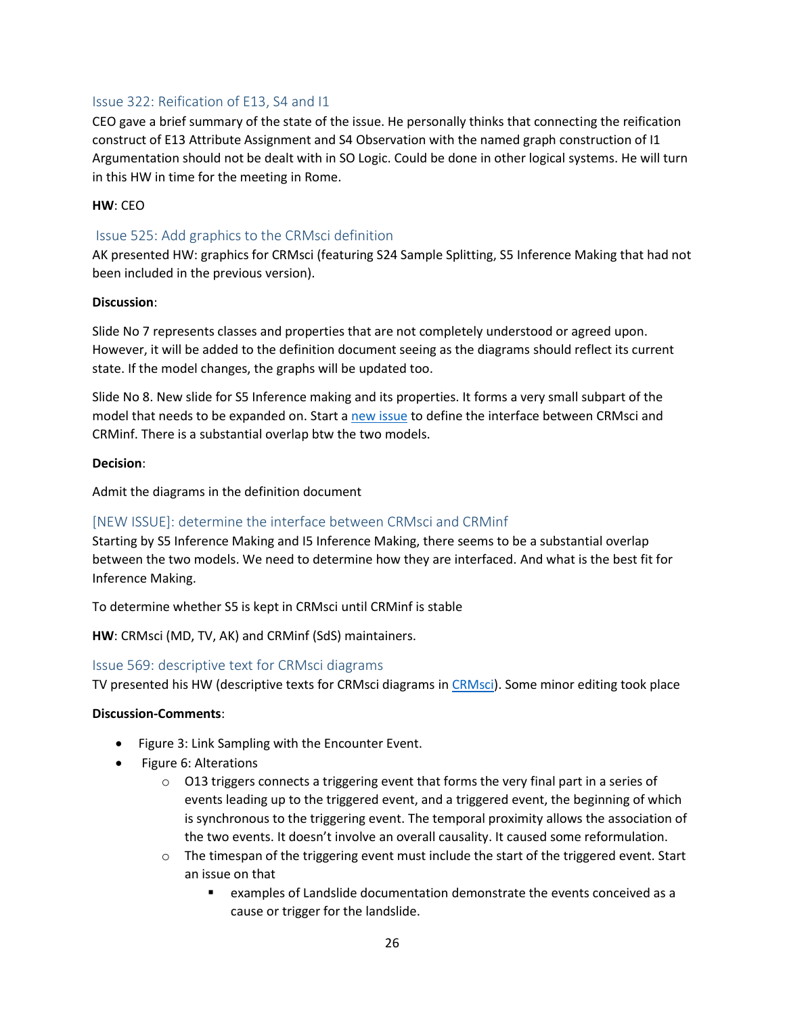## <span id="page-25-0"></span>Issue 322: Reification of E13, S4 and I1

CEO gave a brief summary of the state of the issue. He personally thinks that connecting the reification construct of E13 Attribute Assignment and S4 Observation with the named graph construction of I1 Argumentation should not be dealt with in SO Logic. Could be done in other logical systems. He will turn in this HW in time for the meeting in Rome.

#### **HW**: CEO

### <span id="page-25-1"></span>Issue 525: Add graphics to the CRMsci definition

AK presented HW: graphics for CRMsci (featuring S24 Sample Splitting, S5 Inference Making that had not been included in the previous version).

#### **Discussion**:

Slide No 7 represents classes and properties that are not completely understood or agreed upon. However, it will be added to the definition document seeing as the diagrams should reflect its current state. If the model changes, the graphs will be updated too.

Slide No 8. New slide for S5 Inference making and its properties. It forms a very small subpart of the model that needs to be expanded on. Start a [new issue](#page-25-2) to define the interface between CRMsci and CRMinf. There is a substantial overlap btw the two models.

#### **Decision**:

Admit the diagrams in the definition document

## <span id="page-25-2"></span>[NEW ISSUE]: determine the interface between CRMsci and CRMinf

Starting by S5 Inference Making and I5 Inference Making, there seems to be a substantial overlap between the two models. We need to determine how they are interfaced. And what is the best fit for Inference Making.

To determine whether S5 is kept in CRMsci until CRMinf is stable

**HW**: CRMsci (MD, TV, AK) and CRMinf (SdS) maintainers.

#### <span id="page-25-3"></span>Issue 569: descriptive text for CRMsci diagrams

TV presented his HW (descriptive texts for CRMsci diagrams i[n CRMsci\)](https://cidoc-crm.org/sites/default/files/CRMsci%20v.1.6-intro-text-AV_0.docx). Some minor editing took place

#### **Discussion-Comments**:

- Figure 3: Link Sampling with the Encounter Event.
- Figure 6: Alterations
	- $\circ$  O13 triggers connects a triggering event that forms the very final part in a series of events leading up to the triggered event, and a triggered event, the beginning of which is synchronous to the triggering event. The temporal proximity allows the association of the two events. It doesn't involve an overall causality. It caused some reformulation.
	- $\circ$  The timespan of the triggering event must include the start of the triggered event. Start an issue on that
		- examples of Landslide documentation demonstrate the events conceived as a cause or trigger for the landslide.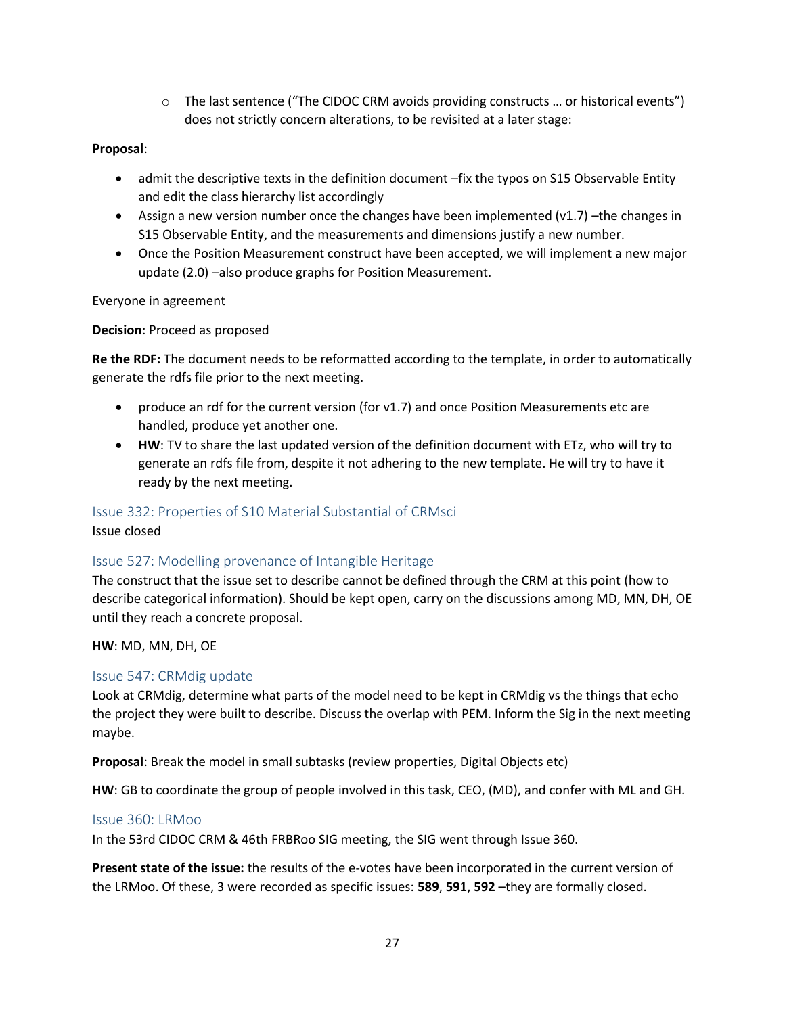$\circ$  The last sentence ("The CIDOC CRM avoids providing constructs ... or historical events") does not strictly concern alterations, to be revisited at a later stage:

## **Proposal**:

- admit the descriptive texts in the definition document –fix the typos on S15 Observable Entity and edit the class hierarchy list accordingly
- Assign a new version number once the changes have been implemented  $(v1.7)$  -the changes in S15 Observable Entity, and the measurements and dimensions justify a new number.
- Once the Position Measurement construct have been accepted, we will implement a new major update (2.0) –also produce graphs for Position Measurement.

Everyone in agreement

**Decision**: Proceed as proposed

**Re the RDF:** The document needs to be reformatted according to the template, in order to automatically generate the rdfs file prior to the next meeting.

- produce an rdf for the current version (for v1.7) and once Position Measurements etc are handled, produce yet another one.
- **HW**: TV to share the last updated version of the definition document with ETz, who will try to generate an rdfs file from, despite it not adhering to the new template. He will try to have it ready by the next meeting.

#### <span id="page-26-0"></span>Issue 332: Properties of S10 Material Substantial of CRMsci

Issue closed

## <span id="page-26-1"></span>Issue 527: Modelling provenance of Intangible Heritage

The construct that the issue set to describe cannot be defined through the CRM at this point (how to describe categorical information). Should be kept open, carry on the discussions among MD, MN, DH, OE until they reach a concrete proposal.

**HW**: MD, MN, DH, OE

#### <span id="page-26-2"></span>Issue 547: CRMdig update

Look at CRMdig, determine what parts of the model need to be kept in CRMdig vs the things that echo the project they were built to describe. Discuss the overlap with PEM. Inform the Sig in the next meeting maybe.

**Proposal**: Break the model in small subtasks (review properties, Digital Objects etc)

**HW**: GB to coordinate the group of people involved in this task, CEO, (MD), and confer with ML and GH.

#### <span id="page-26-3"></span>Issue 360: LRMoo

In the 53rd CIDOC CRM & 46th FRBRoo SIG meeting, the SIG went through Issue 360.

**Present state of the issue:** the results of the e-votes have been incorporated in the current version of the LRMoo. Of these, 3 were recorded as specific issues: **589**, **591**, **592** –they are formally closed.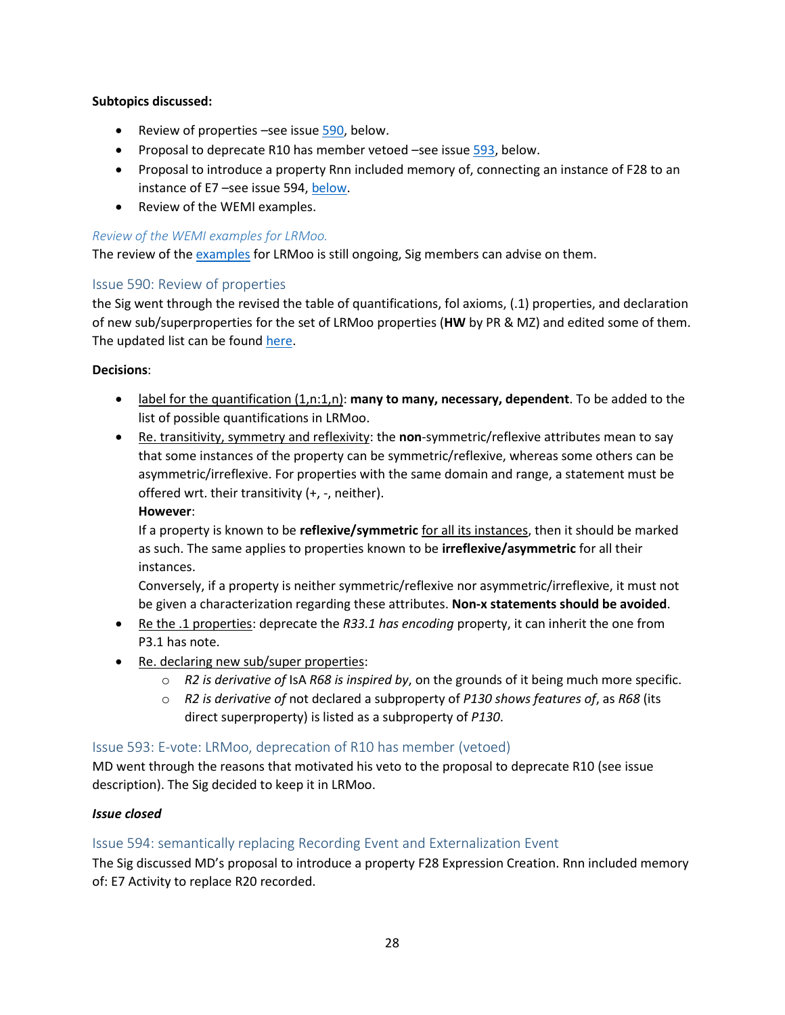## **Subtopics discussed:**

- Review of properties –see issu[e 590,](#page-27-0) below.
- Proposal to deprecate R10 has member vetoed –see issue [593,](#page-27-1) below.
- Proposal to introduce a property Rnn included memory of, connecting an instance of F28 to an instance of E7 –see issue 594, [below.](#page-27-2)
- Review of the WEMI examples.

## *Review of the WEMI examples for LRMoo.*

The review of the [examples](https://cidoc-crm.org/sites/default/files/WEMI%20examples.docx) for LRMoo is still ongoing, Sig members can advise on them.

# <span id="page-27-0"></span>Issue 590: Review of properties

the Sig went through the revised the table of quantifications, fol axioms, (.1) properties, and declaration of new sub/superproperties for the set of LRMoo properties (**HW** by PR & MZ) and edited some of them. The updated list can be foun[d here.](https://cidoc-crm.org/sites/default/files/LRMoo%20Review%20of%20Cardinality%2C%20Transitivity%2C%20Symmetry%2C%20Reflexivity.xlsx)

## **Decisions**:

- label for the quantification (1,n:1,n): **many to many, necessary, dependent**. To be added to the list of possible quantifications in LRMoo.
- Re. transitivity, symmetry and reflexivity: the **non**-symmetric/reflexive attributes mean to say that some instances of the property can be symmetric/reflexive, whereas some others can be asymmetric/irreflexive. For properties with the same domain and range, a statement must be offered wrt. their transitivity (+, -, neither).

## **However**:

If a property is known to be **reflexive/symmetric** for all its instances, then it should be marked as such. The same applies to properties known to be **irreflexive/asymmetric** for all their instances.

Conversely, if a property is neither symmetric/reflexive nor asymmetric/irreflexive, it must not be given a characterization regarding these attributes. **Non-x statements should be avoided**.

- Re the .1 properties: deprecate the *R33.1 has encoding* property, it can inherit the one from P3.1 has note.
- Re. declaring new sub/super properties:
	- o *R2 is derivative of* IsA *R68 is inspired by*, on the grounds of it being much more specific.
	- o *R2 is derivative of* not declared a subproperty of *P130 shows features of*, as *R68* (its direct superproperty) is listed as a subproperty of *P130*.

## <span id="page-27-1"></span>Issue 593: E-vote: LRMoo, deprecation of R10 has member (vetoed)

MD went through the reasons that motivated his veto to the proposal to deprecate R10 (see issue description). The Sig decided to keep it in LRMoo.

## *Issue closed*

# <span id="page-27-2"></span>Issue 594: semantically replacing Recording Event and Externalization Event

The Sig discussed MD's proposal to introduce a property F28 Expression Creation. Rnn included memory of: E7 Activity to replace R20 recorded.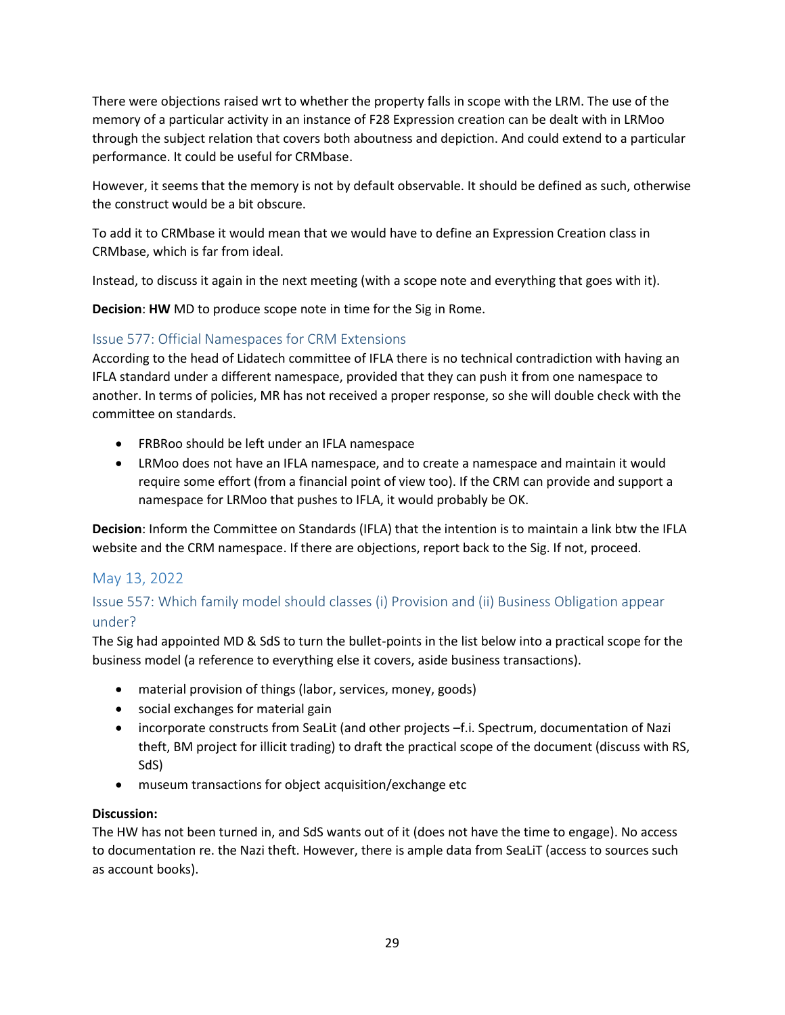There were objections raised wrt to whether the property falls in scope with the LRM. The use of the memory of a particular activity in an instance of F28 Expression creation can be dealt with in LRMoo through the subject relation that covers both aboutness and depiction. And could extend to a particular performance. It could be useful for CRMbase.

However, it seems that the memory is not by default observable. It should be defined as such, otherwise the construct would be a bit obscure.

To add it to CRMbase it would mean that we would have to define an Expression Creation class in CRMbase, which is far from ideal.

Instead, to discuss it again in the next meeting (with a scope note and everything that goes with it).

**Decision**: **HW** MD to produce scope note in time for the Sig in Rome.

# <span id="page-28-0"></span>Issue 577: Official Namespaces for CRM Extensions

According to the head of Lidatech committee of IFLA there is no technical contradiction with having an IFLA standard under a different namespace, provided that they can push it from one namespace to another. In terms of policies, MR has not received a proper response, so she will double check with the committee on standards.

- FRBRoo should be left under an IFLA namespace
- LRMoo does not have an IFLA namespace, and to create a namespace and maintain it would require some effort (from a financial point of view too). If the CRM can provide and support a namespace for LRMoo that pushes to IFLA, it would probably be OK.

**Decision**: Inform the Committee on Standards (IFLA) that the intention is to maintain a link btw the IFLA website and the CRM namespace. If there are objections, report back to the Sig. If not, proceed.

# <span id="page-28-1"></span>May 13, 2022

# <span id="page-28-2"></span>Issue 557: Which family model should classes (i) Provision and (ii) Business Obligation appear under?

The Sig had appointed MD & SdS to turn the bullet-points in the list below into a practical scope for the business model (a reference to everything else it covers, aside business transactions).

- material provision of things (labor, services, money, goods)
- social exchanges for material gain
- incorporate constructs from SeaLit (and other projects –f.i. Spectrum, documentation of Nazi theft, BM project for illicit trading) to draft the practical scope of the document (discuss with RS, SdS)
- museum transactions for object acquisition/exchange etc

## **Discussion:**

The HW has not been turned in, and SdS wants out of it (does not have the time to engage). No access to documentation re. the Nazi theft. However, there is ample data from SeaLiT (access to sources such as account books).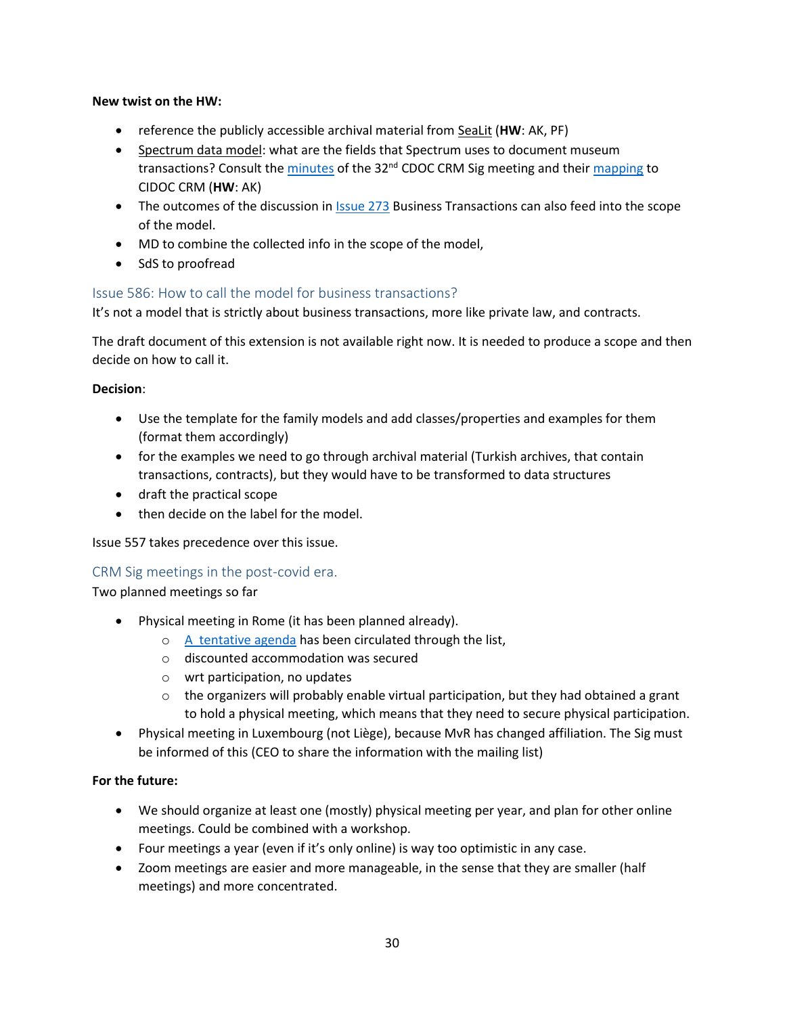### **New twist on the HW:**

- reference the publicly accessible archival material from SeaLit (**HW**: AK, PF)
- Spectrum data model: what are the fields that Spectrum uses to document museum transactions? Consult the [minutes](https://cidoc-crm.org/sites/default/files/2015Feb02-32nd-meeting-minutes_1.pdf) of the 32<sup>nd</sup> CDOC CRM Sig meeting and thei[r mapping](https://cidoc-crm.org/sites/default/files/MDA%20Spectrum_CIDOC_CRM_mapping.doc) to CIDOC CRM (**HW**: AK)
- The outcomes of the discussion in **Issue 273** Business Transactions can also feed into the scope of the model.
- MD to combine the collected info in the scope of the model,
- SdS to proofread

## <span id="page-29-0"></span>Issue 586: How to call the model for business transactions?

It's not a model that is strictly about business transactions, more like private law, and contracts.

Τhe draft document of this extension is not available right now. It is needed to produce a scope and then decide on how to call it.

#### **Decision**:

- Use the template for the family models and add classes/properties and examples for them (format them accordingly)
- for the examples we need to go through archival material (Turkish archives, that contain transactions, contracts), but they would have to be transformed to data structures
- draft the practical scope
- then decide on the label for the model.

Issue 557 takes precedence over this issue.

#### <span id="page-29-1"></span>CRM Sig meetings in the post-covid era.

Two planned meetings so far

- Physical meeting in Rome (it has been planned already).
	- o [A tentative agenda](https://cidoc-crm.org/sites/default/files/54th%20CIDOC%20CRM%20-47th%20FRBR%20Sig%20Meeting%20%28Rome%29%20tentative%20agenda.pdf) has been circulated through the list,
	- o discounted accommodation was secured
	- o wrt participation, no updates
	- $\circ$  the organizers will probably enable virtual participation, but they had obtained a grant to hold a physical meeting, which means that they need to secure physical participation.
- Physical meeting in Luxembourg (not Liège), because MvR has changed affiliation. The Sig must be informed of this (CEO to share the information with the mailing list)

#### **For the future:**

- We should organize at least one (mostly) physical meeting per year, and plan for other online meetings. Could be combined with a workshop.
- Four meetings a year (even if it's only online) is way too optimistic in any case.
- Zoom meetings are easier and more manageable, in the sense that they are smaller (half meetings) and more concentrated.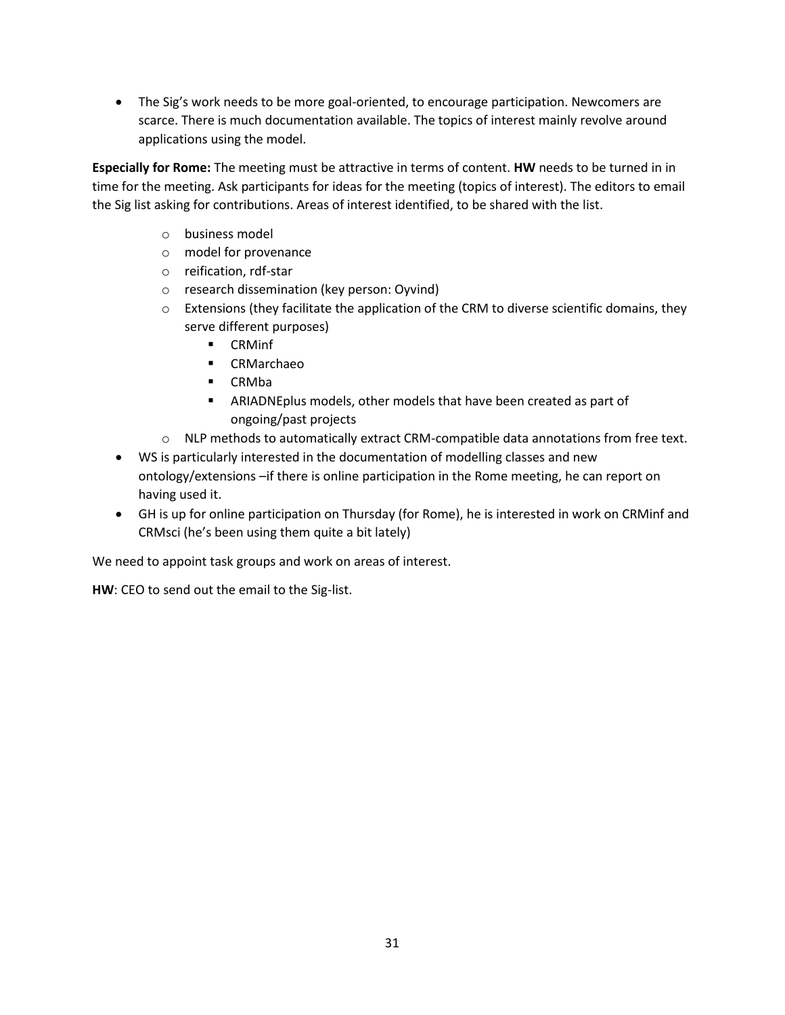• The Sig's work needs to be more goal-oriented, to encourage participation. Newcomers are scarce. There is much documentation available. The topics of interest mainly revolve around applications using the model.

**Especially for Rome:** The meeting must be attractive in terms of content. **HW** needs to be turned in in time for the meeting. Ask participants for ideas for the meeting (topics of interest). The editors to email the Sig list asking for contributions. Areas of interest identified, to be shared with the list.

- o business model
- o model for provenance
- o reification, rdf-star
- o research dissemination (key person: Oyvind)
- $\circ$  Extensions (they facilitate the application of the CRM to diverse scientific domains, they serve different purposes)
	- CRMinf
	- CRMarchaeo
	- CRMba
	- ARIADNEplus models, other models that have been created as part of ongoing/past projects
- o NLP methods to automatically extract CRM-compatible data annotations from free text.
- WS is particularly interested in the documentation of modelling classes and new ontology/extensions –if there is online participation in the Rome meeting, he can report on having used it.
- GH is up for online participation on Thursday (for Rome), he is interested in work on CRMinf and CRMsci (he's been using them quite a bit lately)

We need to appoint task groups and work on areas of interest.

**HW**: CEO to send out the email to the Sig-list.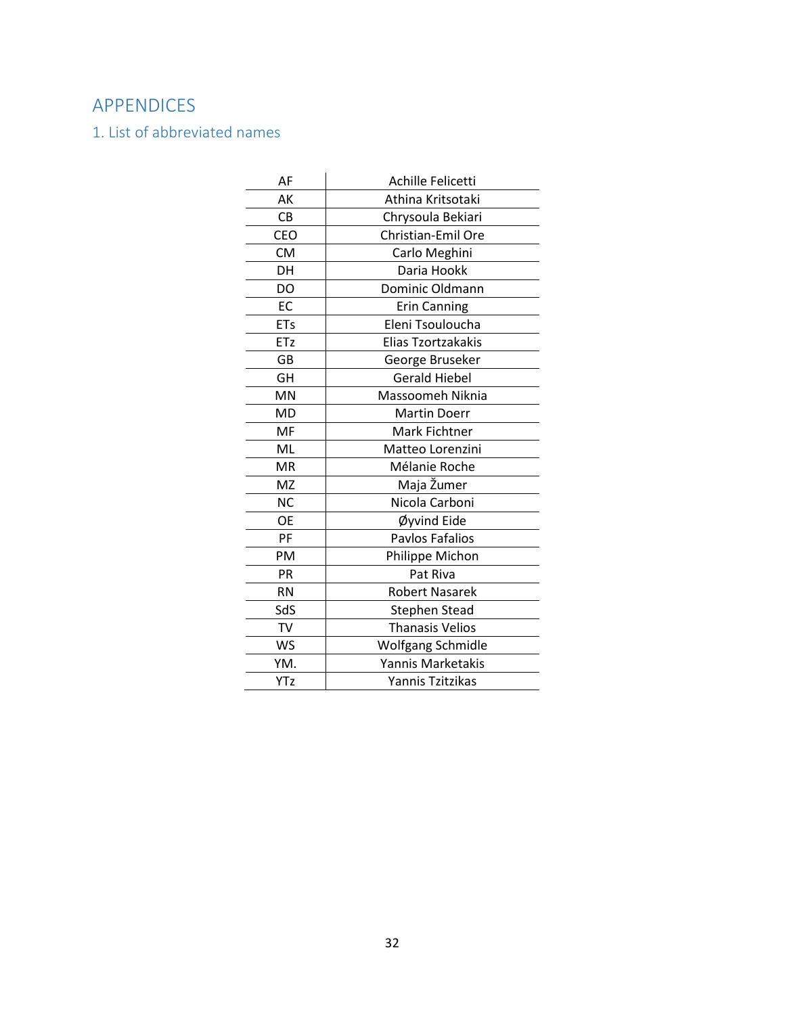# <span id="page-31-0"></span>APPENDICES

<span id="page-31-1"></span>1. List of abbreviated names

| AF         | Achille Felicetti      |
|------------|------------------------|
| AK         | Athina Kritsotaki      |
| CB         |                        |
|            | Chrysoula Bekiari      |
| <b>CEO</b> | Christian-Emil Ore     |
| <b>CM</b>  | Carlo Meghini          |
| DH         | Daria Hookk            |
| DO         | Dominic Oldmann        |
| EC         | <b>Erin Canning</b>    |
| <b>ETs</b> | Eleni Tsouloucha       |
| ETz        | Elias Tzortzakakis     |
| GB         | George Bruseker        |
| GH         | <b>Gerald Hiebel</b>   |
| MN         | Massoomeh Niknia       |
| MD         | <b>Martin Doerr</b>    |
| MF         | Mark Fichtner          |
| ML         | Matteo Lorenzini       |
| <b>MR</b>  | Mélanie Roche          |
| MZ         | Maja Žumer             |
| <b>NC</b>  | Nicola Carboni         |
| <b>OE</b>  | Øyvind Eide            |
| PF         | Pavlos Fafalios        |
| PM         | Philippe Michon        |
| PR         | Pat Riva               |
| <b>RN</b>  | <b>Robert Nasarek</b>  |
| SdS        | <b>Stephen Stead</b>   |
| <b>TV</b>  | <b>Thanasis Velios</b> |
| <b>WS</b>  | Wolfgang Schmidle      |
| YM.        | Yannis Marketakis      |
| YTz        | Yannis Tzitzikas       |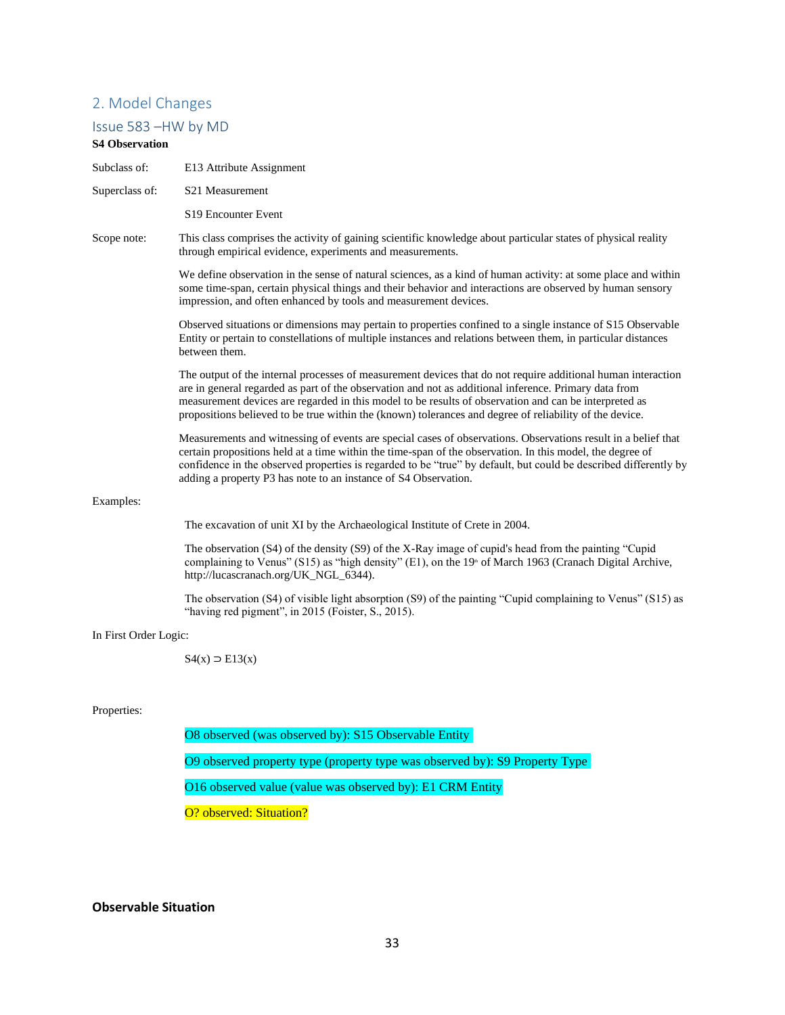### <span id="page-32-0"></span>2. Model Changes

#### <span id="page-32-1"></span>Issue 583 –HW by MD

#### **S4 Observation**

- Subclass of: E13 Attribute Assignment
- Superclass of: S21 Measurement

S19 Encounter Event

Scope note: This class comprises the activity of gaining scientific knowledge about particular states of physical reality through empirical evidence, experiments and measurements.

> We define observation in the sense of natural sciences, as a kind of human activity: at some place and within some time-span, certain physical things and their behavior and interactions are observed by human sensory impression, and often enhanced by tools and measurement devices.

> Observed situations or dimensions may pertain to properties confined to a single instance of S15 Observable Entity or pertain to constellations of multiple instances and relations between them, in particular distances between them.

> The output of the internal processes of measurement devices that do not require additional human interaction are in general regarded as part of the observation and not as additional inference. Primary data from measurement devices are regarded in this model to be results of observation and can be interpreted as propositions believed to be true within the (known) tolerances and degree of reliability of the device.

Measurements and witnessing of events are special cases of observations. Observations result in a belief that certain propositions held at a time within the time-span of the observation. In this model, the degree of confidence in the observed properties is regarded to be "true" by default, but could be described differently by adding a property P3 has note to an instance of S4 Observation.

#### Examples:

The excavation of unit XI by the Archaeological Institute of Crete in 2004.

The observation (S4) of the density (S9) of the X-Ray image of cupid's head from the painting "Cupid complaining to Venus" (S15) as "high density" (E1), on the 19<sup>th</sup> of March 1963 (Cranach Digital Archive, http://lucascranach.org/UK\_NGL\_6344).

The observation (S4) of visible light absorption (S9) of the painting "Cupid complaining to Venus" (S15) as "having red pigment", in 2015 (Foister, S., 2015).

#### In First Order Logic:

 $S4(x)$  ⊃ E13(x)

#### Properties:

O8 observed (was observed by): S15 Observable Entity O9 observed property type (property type was observed by): S9 Property Type O16 observed value (value was observed by): E1 CRM Entity O? observed: Situation?

#### **Observable Situation**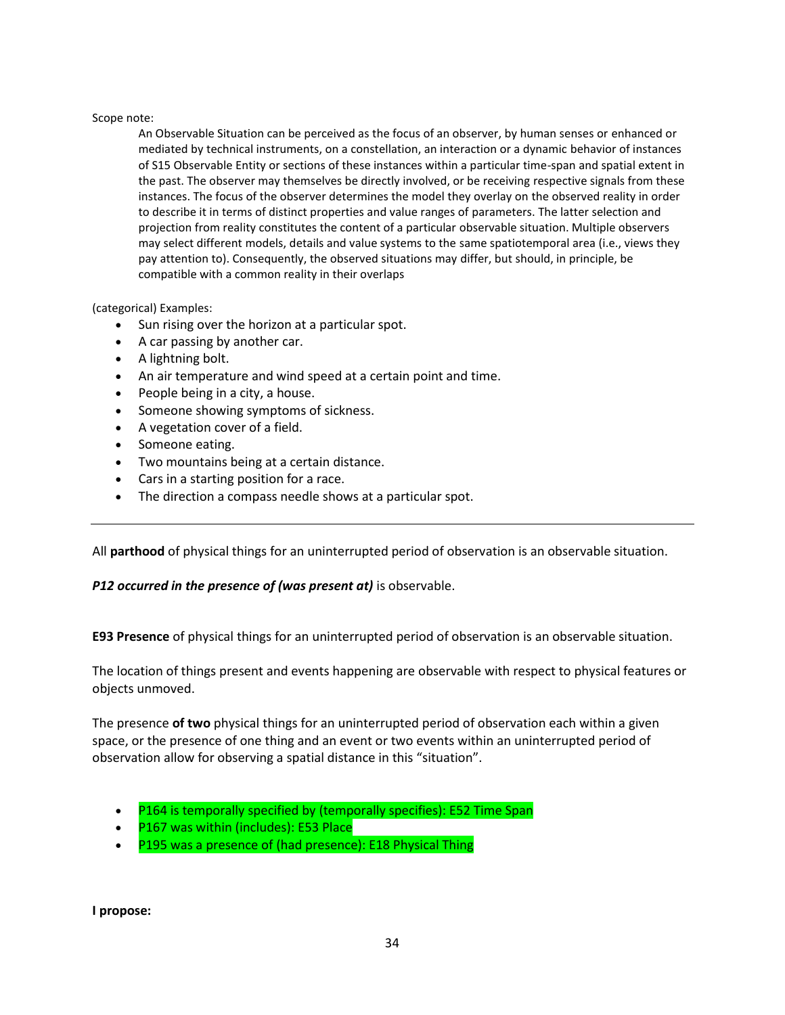#### Scope note:

An Observable Situation can be perceived as the focus of an observer, by human senses or enhanced or mediated by technical instruments, on a constellation, an interaction or a dynamic behavior of instances of S15 Observable Entity or sections of these instances within a particular time-span and spatial extent in the past. The observer may themselves be directly involved, or be receiving respective signals from these instances. The focus of the observer determines the model they overlay on the observed reality in order to describe it in terms of distinct properties and value ranges of parameters. The latter selection and projection from reality constitutes the content of a particular observable situation. Multiple observers may select different models, details and value systems to the same spatiotemporal area (i.e., views they pay attention to). Consequently, the observed situations may differ, but should, in principle, be compatible with a common reality in their overlaps

#### (categorical) Examples:

- Sun rising over the horizon at a particular spot.
- A car passing by another car.
- A lightning bolt.
- An air temperature and wind speed at a certain point and time.
- People being in a city, a house.
- Someone showing symptoms of sickness.
- A vegetation cover of a field.
- Someone eating.
- Two mountains being at a certain distance.
- Cars in a starting position for a race.
- The direction a compass needle shows at a particular spot.

All **parthood** of physical things for an uninterrupted period of observation is an observable situation.

#### *P12 occurred in the presence of (was present at)* is observable.

**E93 Presence** of physical things for an uninterrupted period of observation is an observable situation.

The location of things present and events happening are observable with respect to physical features or objects unmoved.

The presence **of two** physical things for an uninterrupted period of observation each within a given space, or the presence of one thing and an event or two events within an uninterrupted period of observation allow for observing a spatial distance in this "situation".

- P164 is temporally specified by (temporally specifies): E52 Time Span
- P167 was within (includes): E53 Place
- P195 was a presence of (had presence): E18 Physical Thing

**I propose:**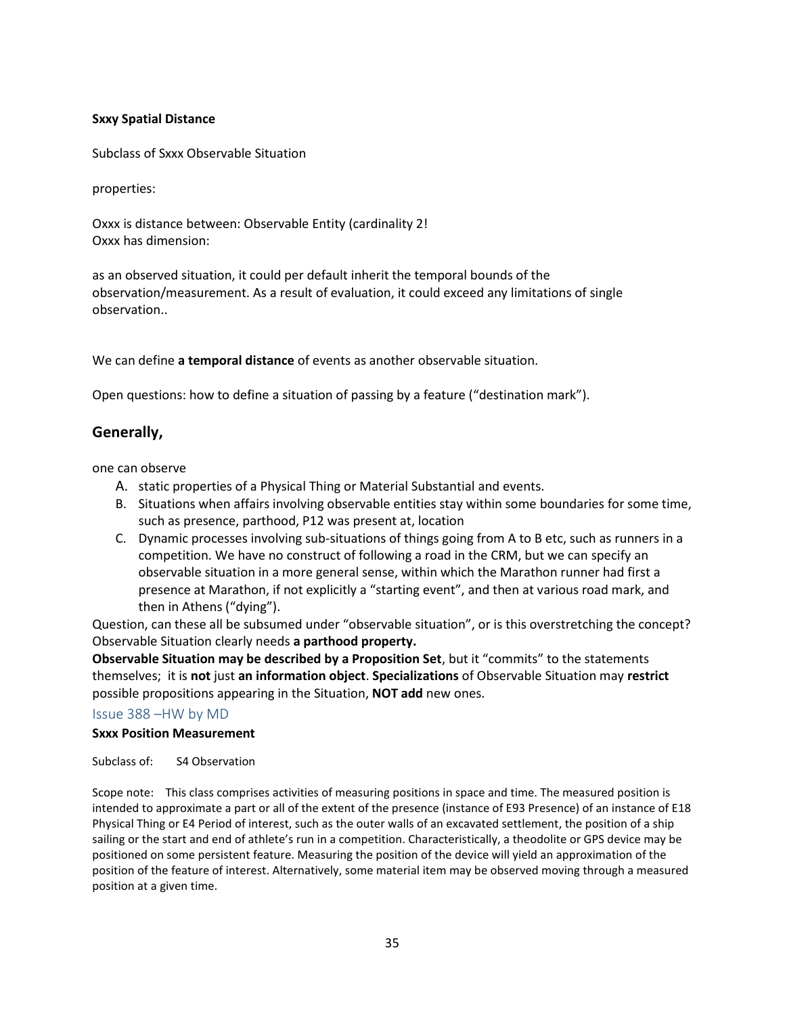## **Sxxy Spatial Distance**

Subclass of Sxxx Observable Situation

properties:

Oxxx is distance between: Observable Entity (cardinality 2! Oxxx has dimension:

as an observed situation, it could per default inherit the temporal bounds of the observation/measurement. As a result of evaluation, it could exceed any limitations of single observation..

We can define **a temporal distance** of events as another observable situation.

Open questions: how to define a situation of passing by a feature ("destination mark").

# **Generally,**

one can observe

- A. static properties of a Physical Thing or Material Substantial and events.
- B. Situations when affairs involving observable entities stay within some boundaries for some time, such as presence, parthood, P12 was present at, location
- C. Dynamic processes involving sub-situations of things going from A to B etc, such as runners in a competition. We have no construct of following a road in the CRM, but we can specify an observable situation in a more general sense, within which the Marathon runner had first a presence at Marathon, if not explicitly a "starting event", and then at various road mark, and then in Athens ("dying").

Question, can these all be subsumed under "observable situation", or is this overstretching the concept? Observable Situation clearly needs **a parthood property.**

**Observable Situation may be described by a Proposition Set**, but it "commits" to the statements themselves; it is **not** just **an information object**. **Specializations** of Observable Situation may **restrict**  possible propositions appearing in the Situation, **NOT add** new ones.

#### <span id="page-34-0"></span>Issue 388 –HW by MD

## **Sxxx Position Measurement**

Subclass of: S4 Observation

Scope note: This class comprises activities of measuring positions in space and time. The measured position is intended to approximate a part or all of the extent of the presence (instance of E93 Presence) of an instance of E18 Physical Thing or E4 Period of interest, such as the outer walls of an excavated settlement, the position of a ship sailing or the start and end of athlete's run in a competition. Characteristically, a theodolite or GPS device may be positioned on some persistent feature. Measuring the position of the device will yield an approximation of the position of the feature of interest. Alternatively, some material item may be observed moving through a measured position at a given time.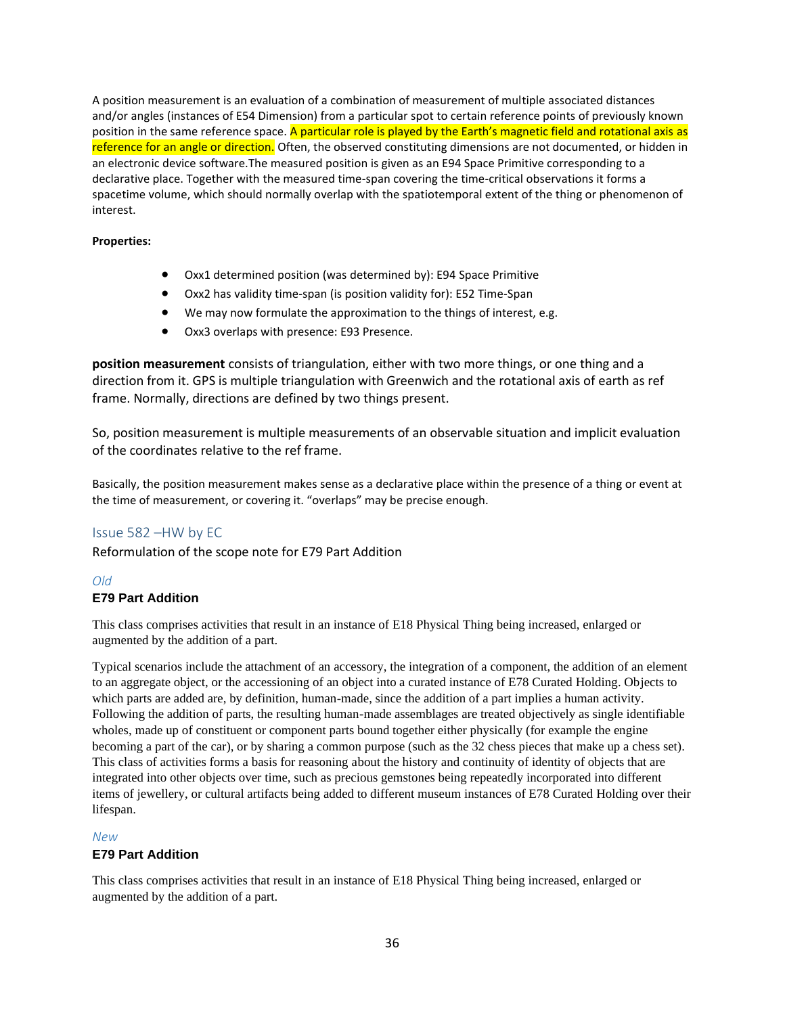A position measurement is an evaluation of a combination of measurement of multiple associated distances and/or angles (instances of E54 Dimension) from a particular spot to certain reference points of previously known position in the same reference space. A particular role is played by the Earth's magnetic field and rotational axis as reference for an angle or direction. Often, the observed constituting dimensions are not documented, or hidden in an electronic device software.The measured position is given as an E94 Space Primitive corresponding to a declarative place. Together with the measured time-span covering the time-critical observations it forms a spacetime volume, which should normally overlap with the spatiotemporal extent of the thing or phenomenon of interest.

#### **Properties:**

- Oxx1 determined position (was determined by): E94 Space Primitive
- Oxx2 has validity time-span (is position validity for): E52 Time-Span
- We may now formulate the approximation to the things of interest, e.g.
- Oxx3 overlaps with presence: E93 Presence.

**position measurement** consists of triangulation, either with two more things, or one thing and a direction from it. GPS is multiple triangulation with Greenwich and the rotational axis of earth as ref frame. Normally, directions are defined by two things present.

So, position measurement is multiple measurements of an observable situation and implicit evaluation of the coordinates relative to the ref frame.

Basically, the position measurement makes sense as a declarative place within the presence of a thing or event at the time of measurement, or covering it. "overlaps" may be precise enough.

#### <span id="page-35-0"></span>Issue 582 –HW by EC

Reformulation of the scope note for E79 Part Addition

#### *Old*

#### **E79 Part Addition**

This class comprises activities that result in an instance of E18 Physical Thing being increased, enlarged or augmented by the addition of a part.

Typical scenarios include the attachment of an accessory, the integration of a component, the addition of an element to an aggregate object, or the accessioning of an object into a curated instance of E78 Curated Holding. Objects to which parts are added are, by definition, human-made, since the addition of a part implies a human activity. Following the addition of parts, the resulting human-made assemblages are treated objectively as single identifiable wholes, made up of constituent or component parts bound together either physically (for example the engine becoming a part of the car), or by sharing a common purpose (such as the 32 chess pieces that make up a chess set). This class of activities forms a basis for reasoning about the history and continuity of identity of objects that are integrated into other objects over time, such as precious gemstones being repeatedly incorporated into different items of jewellery, or cultural artifacts being added to different museum instances of E78 Curated Holding over their lifespan.

#### *New*

#### **E79 Part Addition**

This class comprises activities that result in an instance of E18 Physical Thing being increased, enlarged or augmented by the addition of a part.